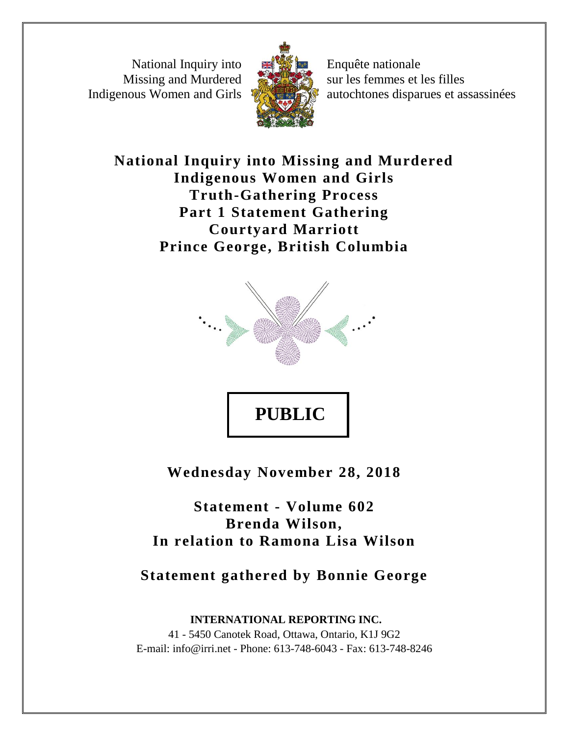National Inquiry into Missing and Murdered Indigenous Women and Girls



Enquête nationale sur les femmes et les filles autochtones disparues et assassinées

**National Inquiry into Missing and Murdered Indigenous Women and Girls Truth-Gathering Process Part 1 Statement Gathering Courtyard Marriott Prince George, British Columbia**



**Wednesday November 28, 2018**

**Statement - Volume 602 Brenda Wilson, In relation to Ramona Lisa Wilson**

**Statement gathered by Bonnie George**

**INTERNATIONAL REPORTING INC.** 41 - 5450 Canotek Road, Ottawa, Ontario, K1J 9G2 E-mail: info@irri.net - Phone: 613-748-6043 - Fax: 613-748-8246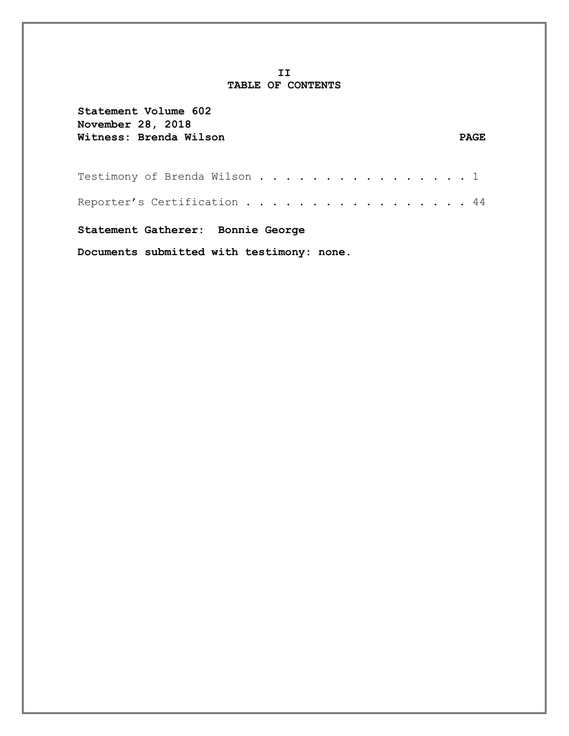## **II TABLE OF CONTENTS**

| Statement Volume 602<br>November 28, 2018 |             |
|-------------------------------------------|-------------|
| Witness: Brenda Wilson                    | <b>PAGE</b> |
| Testimony of Brenda Wilson 1              |             |
| Reporter's Certification 44               |             |
| Statement Gatherer: Bonnie George         |             |
| Documents submitted with testimony: none. |             |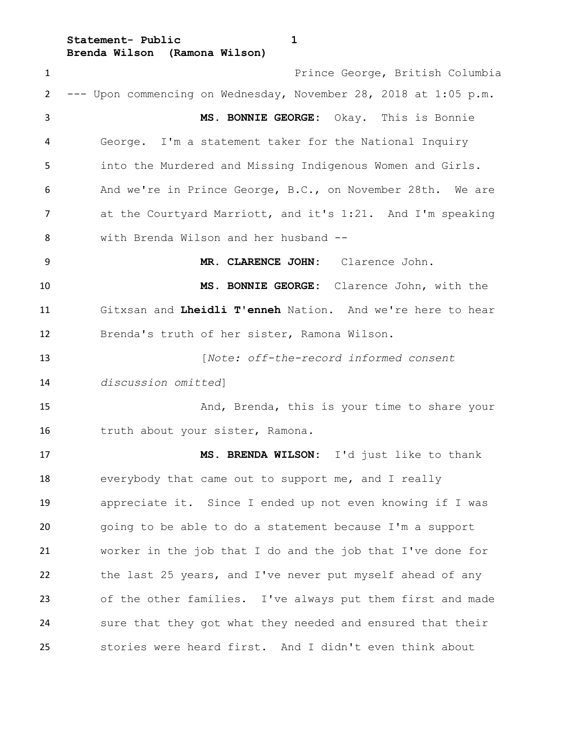**Statement- Public 1**

**Brenda Wilson (Ramona Wilson)**

 Prince George, British Columbia --- Upon commencing on Wednesday, November 28, 2018 at 1:05 p.m. **MS. BONNIE GEORGE:** Okay. This is Bonnie George. I'm a statement taker for the National Inquiry into the Murdered and Missing Indigenous Women and Girls. And we're in Prince George, B.C., on November 28th. We are at the Courtyard Marriott, and it's 1:21. And I'm speaking with Brenda Wilson and her husband -- **MR. CLARENCE JOHN:** Clarence John. **MS. BONNIE GEORGE:** Clarence John, with the Gitxsan and **Lheidli T'enneh** Nation. And we're here to hear Brenda's truth of her sister, Ramona Wilson. [*Note: off-the-record informed consent discussion omitted*] And, Brenda, this is your time to share your 16 truth about your sister, Ramona. **MS. BRENDA WILSON:** I'd just like to thank everybody that came out to support me, and I really appreciate it. Since I ended up not even knowing if I was going to be able to do a statement because I'm a support worker in the job that I do and the job that I've done for the last 25 years, and I've never put myself ahead of any of the other families. I've always put them first and made sure that they got what they needed and ensured that their stories were heard first. And I didn't even think about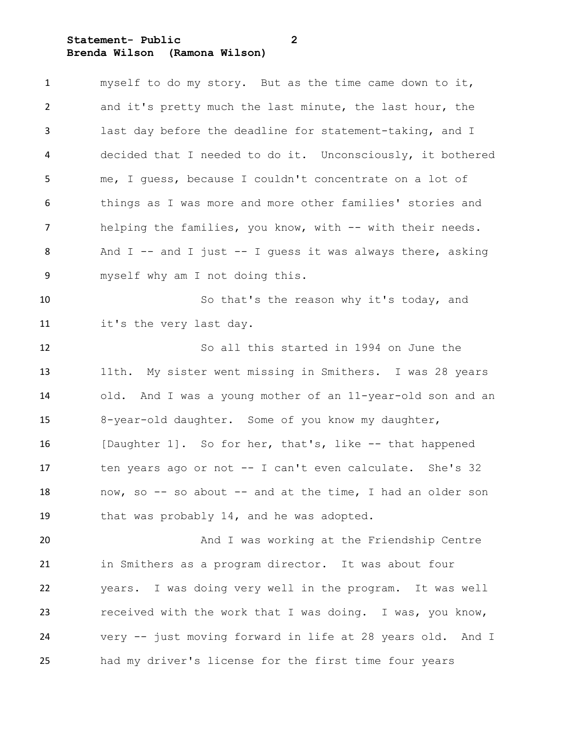**Statement- Public 2 Brenda Wilson (Ramona Wilson)**

| $\mathbf{1}$   | myself to do my story. But as the time came down to it,      |
|----------------|--------------------------------------------------------------|
| $\overline{2}$ | and it's pretty much the last minute, the last hour, the     |
| 3              | last day before the deadline for statement-taking, and I     |
| 4              | decided that I needed to do it. Unconsciously, it bothered   |
| 5              | me, I guess, because I couldn't concentrate on a lot of      |
| 6              | things as I was more and more other families' stories and    |
| $\overline{7}$ | helping the families, you know, with -- with their needs.    |
| 8              | And $I$ -- and I just -- I guess it was always there, asking |
| 9              | myself why am I not doing this.                              |
| 10             | So that's the reason why it's today, and                     |
| 11             | it's the very last day.                                      |
| 12             | So all this started in 1994 on June the                      |
| 13             | 11th. My sister went missing in Smithers. I was 28 years     |
| 14             | old. And I was a young mother of an 11-year-old son and an   |
| 15             | 8-year-old daughter. Some of you know my daughter,           |
| 16             | [Daughter 1]. So for her, that's, like -- that happened      |
| 17             | ten years ago or not -- I can't even calculate. She's 32     |
| 18             | now, so -- so about -- and at the time, I had an older son   |
| 19             | that was probably 14, and he was adopted.                    |
| 20             | And I was working at the Friendship Centre                   |
| 21             | in Smithers as a program director. It was about four         |
| 22             | years. I was doing very well in the program. It was well     |
| 23             | received with the work that I was doing. I was, you know,    |
| 24             | very -- just moving forward in life at 28 years old. And I   |
| 25             | had my driver's license for the first time four years        |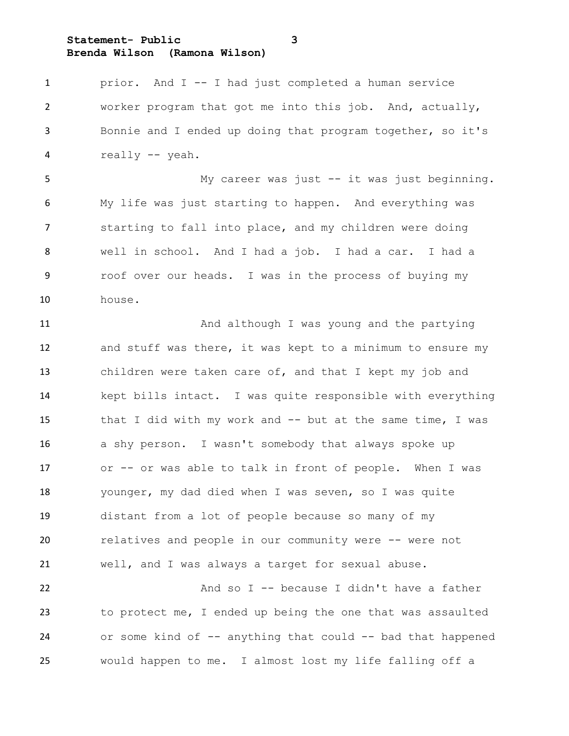**Statement- Public 3**

**Brenda Wilson (Ramona Wilson)**

 prior. And I -- I had just completed a human service worker program that got me into this job. And, actually, Bonnie and I ended up doing that program together, so it's really -- yeah. My career was just -- it was just beginning. My life was just starting to happen. And everything was starting to fall into place, and my children were doing well in school. And I had a job. I had a car. I had a roof over our heads. I was in the process of buying my house. 11 And although I was young and the partying and stuff was there, it was kept to a minimum to ensure my children were taken care of, and that I kept my job and kept bills intact. I was quite responsible with everything that I did with my work and -- but at the same time, I was a shy person. I wasn't somebody that always spoke up or -- or was able to talk in front of people. When I was younger, my dad died when I was seven, so I was quite distant from a lot of people because so many of my relatives and people in our community were -- were not well, and I was always a target for sexual abuse. And so I -- because I didn't have a father to protect me, I ended up being the one that was assaulted 24 or some kind of -- anything that could -- bad that happened would happen to me. I almost lost my life falling off a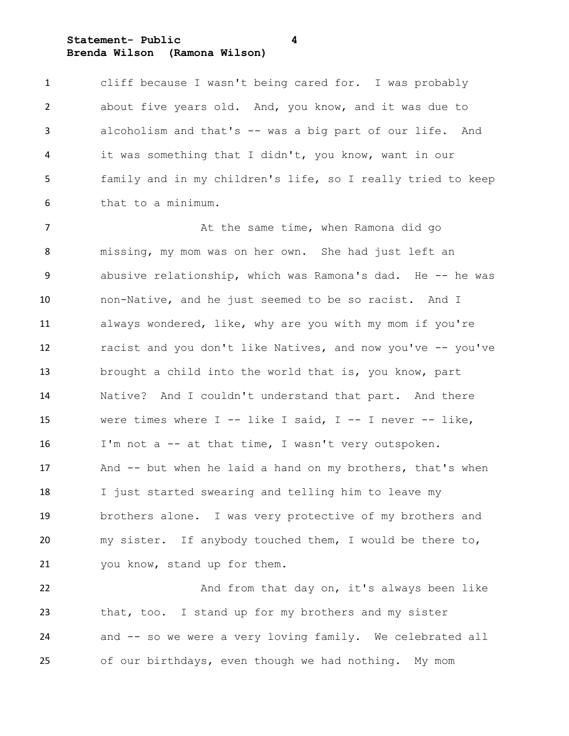**Statement- Public 4 Brenda Wilson (Ramona Wilson)**

 cliff because I wasn't being cared for. I was probably about five years old. And, you know, and it was due to alcoholism and that's -- was a big part of our life. And it was something that I didn't, you know, want in our family and in my children's life, so I really tried to keep that to a minimum.

7 At the same time, when Ramona did go missing, my mom was on her own. She had just left an 9 abusive relationship, which was Ramona's dad. He -- he was non-Native, and he just seemed to be so racist. And I always wondered, like, why are you with my mom if you're racist and you don't like Natives, and now you've -- you've brought a child into the world that is, you know, part Native? And I couldn't understand that part. And there were times where I -- like I said, I -- I never -- like, 16 I'm not a -- at that time, I wasn't very outspoken. 17 And -- but when he laid a hand on my brothers, that's when I just started swearing and telling him to leave my brothers alone. I was very protective of my brothers and my sister. If anybody touched them, I would be there to, you know, stand up for them.

22 And from that day on, it's always been like that, too. I stand up for my brothers and my sister and -- so we were a very loving family. We celebrated all of our birthdays, even though we had nothing. My mom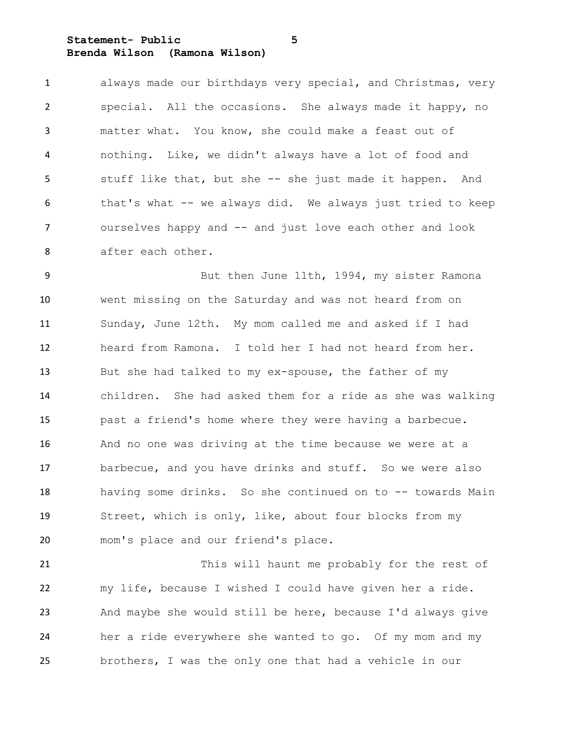**Statement- Public 5 Brenda Wilson (Ramona Wilson)**

 always made our birthdays very special, and Christmas, very special. All the occasions. She always made it happy, no matter what. You know, she could make a feast out of nothing. Like, we didn't always have a lot of food and stuff like that, but she -- she just made it happen. And that's what -- we always did. We always just tried to keep ourselves happy and -- and just love each other and look after each other.

9 But then June 11th, 1994, my sister Ramona went missing on the Saturday and was not heard from on Sunday, June 12th. My mom called me and asked if I had heard from Ramona. I told her I had not heard from her. But she had talked to my ex-spouse, the father of my children. She had asked them for a ride as she was walking past a friend's home where they were having a barbecue. And no one was driving at the time because we were at a barbecue, and you have drinks and stuff. So we were also having some drinks. So she continued on to -- towards Main Street, which is only, like, about four blocks from my mom's place and our friend's place.

 This will haunt me probably for the rest of my life, because I wished I could have given her a ride. And maybe she would still be here, because I'd always give her a ride everywhere she wanted to go. Of my mom and my brothers, I was the only one that had a vehicle in our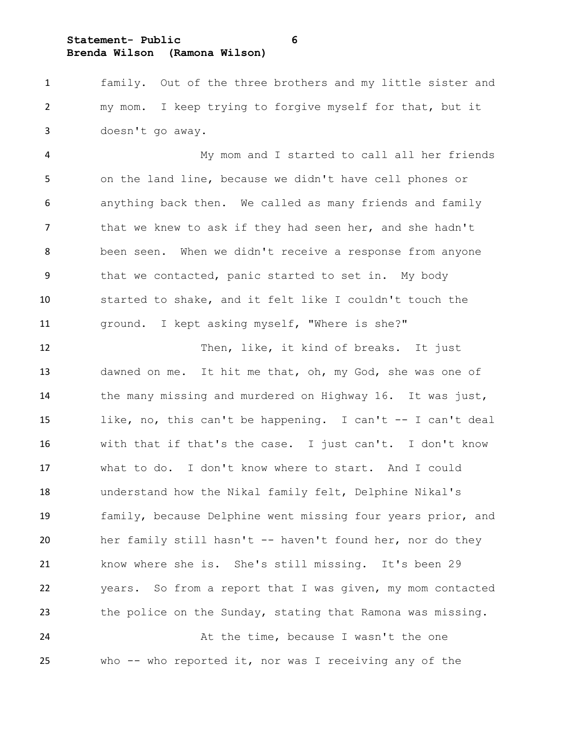**Statement- Public 6**

**Brenda Wilson (Ramona Wilson)**

 family. Out of the three brothers and my little sister and my mom. I keep trying to forgive myself for that, but it doesn't go away.

 My mom and I started to call all her friends on the land line, because we didn't have cell phones or anything back then. We called as many friends and family 7 that we knew to ask if they had seen her, and she hadn't been seen. When we didn't receive a response from anyone that we contacted, panic started to set in. My body started to shake, and it felt like I couldn't touch the ground. I kept asking myself, "Where is she?"

12 Then, like, it kind of breaks. It just dawned on me. It hit me that, oh, my God, she was one of the many missing and murdered on Highway 16. It was just, like, no, this can't be happening. I can't -- I can't deal with that if that's the case. I just can't. I don't know what to do. I don't know where to start. And I could understand how the Nikal family felt, Delphine Nikal's family, because Delphine went missing four years prior, and her family still hasn't -- haven't found her, nor do they know where she is. She's still missing. It's been 29 years. So from a report that I was given, my mom contacted the police on the Sunday, stating that Ramona was missing. 24 At the time, because I wasn't the one

who -- who reported it, nor was I receiving any of the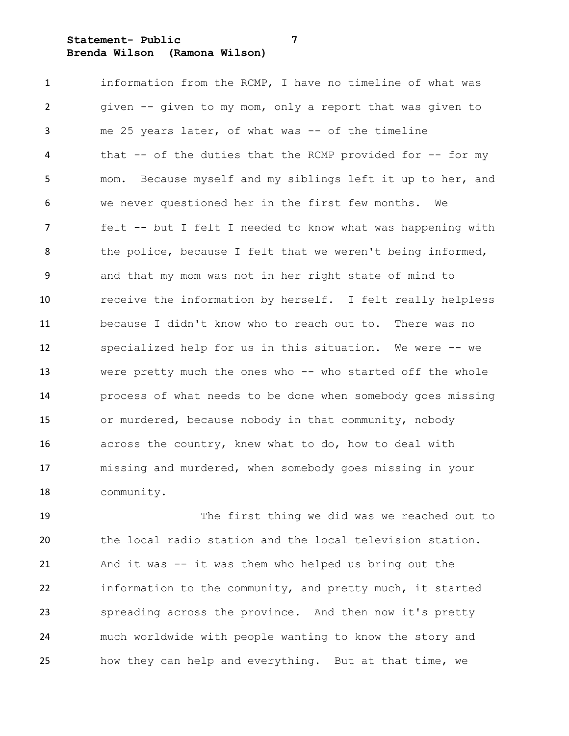**Statement- Public 7 Brenda Wilson (Ramona Wilson)**

 information from the RCMP, I have no timeline of what was given -- given to my mom, only a report that was given to me 25 years later, of what was -- of the timeline 4 that -- of the duties that the RCMP provided for -- for my mom. Because myself and my siblings left it up to her, and we never questioned her in the first few months. We felt -- but I felt I needed to know what was happening with 8 the police, because I felt that we weren't being informed, and that my mom was not in her right state of mind to receive the information by herself. I felt really helpless because I didn't know who to reach out to. There was no specialized help for us in this situation. We were -- we were pretty much the ones who -- who started off the whole process of what needs to be done when somebody goes missing or murdered, because nobody in that community, nobody across the country, knew what to do, how to deal with missing and murdered, when somebody goes missing in your community.

 The first thing we did was we reached out to the local radio station and the local television station. And it was -- it was them who helped us bring out the information to the community, and pretty much, it started spreading across the province. And then now it's pretty much worldwide with people wanting to know the story and how they can help and everything. But at that time, we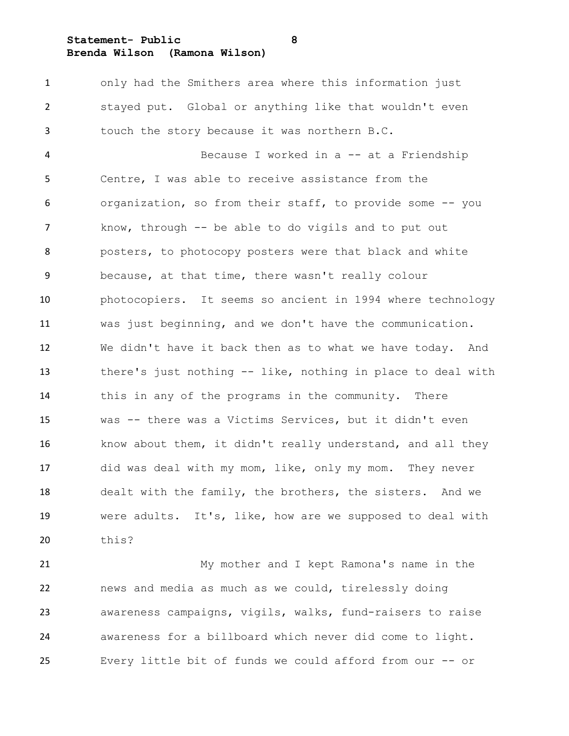**Statement- Public 8**

**Brenda Wilson (Ramona Wilson)**

 only had the Smithers area where this information just stayed put. Global or anything like that wouldn't even touch the story because it was northern B.C.

 Because I worked in a -- at a Friendship Centre, I was able to receive assistance from the organization, so from their staff, to provide some -- you know, through -- be able to do vigils and to put out posters, to photocopy posters were that black and white because, at that time, there wasn't really colour photocopiers. It seems so ancient in 1994 where technology was just beginning, and we don't have the communication. We didn't have it back then as to what we have today. And there's just nothing -- like, nothing in place to deal with this in any of the programs in the community. There was -- there was a Victims Services, but it didn't even know about them, it didn't really understand, and all they did was deal with my mom, like, only my mom. They never dealt with the family, the brothers, the sisters. And we were adults. It's, like, how are we supposed to deal with this?

 My mother and I kept Ramona's name in the news and media as much as we could, tirelessly doing awareness campaigns, vigils, walks, fund-raisers to raise awareness for a billboard which never did come to light. Every little bit of funds we could afford from our -- or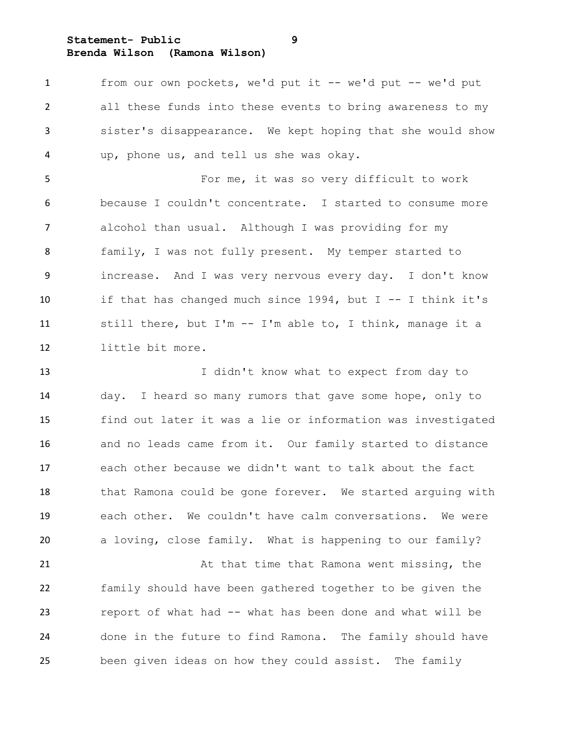**Statement- Public 9 Brenda Wilson (Ramona Wilson)**

 from our own pockets, we'd put it -- we'd put -- we'd put all these funds into these events to bring awareness to my sister's disappearance. We kept hoping that she would show up, phone us, and tell us she was okay.

 For me, it was so very difficult to work because I couldn't concentrate. I started to consume more alcohol than usual. Although I was providing for my family, I was not fully present. My temper started to increase. And I was very nervous every day. I don't know if that has changed much since 1994, but I -- I think it's still there, but I'm -- I'm able to, I think, manage it a little bit more.

13 I didn't know what to expect from day to day. I heard so many rumors that gave some hope, only to find out later it was a lie or information was investigated and no leads came from it. Our family started to distance each other because we didn't want to talk about the fact 18 that Ramona could be gone forever. We started arguing with each other. We couldn't have calm conversations. We were a loving, close family. What is happening to our family? 21 At that time that Ramona went missing, the

 family should have been gathered together to be given the report of what had -- what has been done and what will be done in the future to find Ramona. The family should have been given ideas on how they could assist. The family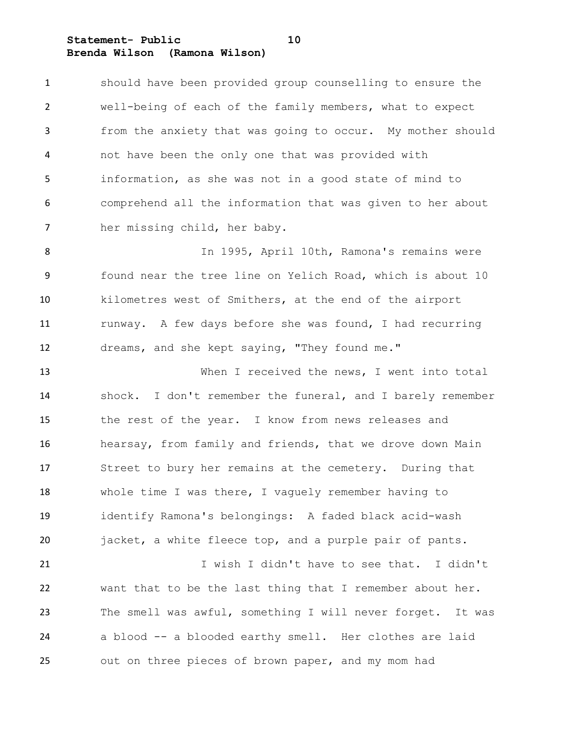**Statement- Public 10 Brenda Wilson (Ramona Wilson)**

 should have been provided group counselling to ensure the well-being of each of the family members, what to expect from the anxiety that was going to occur. My mother should not have been the only one that was provided with information, as she was not in a good state of mind to comprehend all the information that was given to her about her missing child, her baby.

8 In 1995, April 10th, Ramona's remains were found near the tree line on Yelich Road, which is about 10 kilometres west of Smithers, at the end of the airport 11 runway. A few days before she was found, I had recurring dreams, and she kept saying, "They found me."

13 When I received the news, I went into total shock. I don't remember the funeral, and I barely remember the rest of the year. I know from news releases and hearsay, from family and friends, that we drove down Main Street to bury her remains at the cemetery. During that whole time I was there, I vaguely remember having to identify Ramona's belongings: A faded black acid-wash jacket, a white fleece top, and a purple pair of pants.

 I wish I didn't have to see that. I didn't want that to be the last thing that I remember about her. The smell was awful, something I will never forget. It was a blood -- a blooded earthy smell. Her clothes are laid out on three pieces of brown paper, and my mom had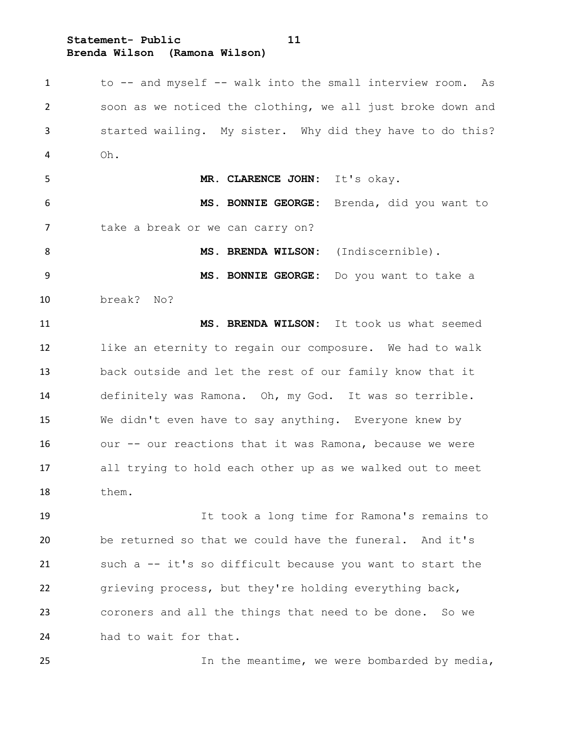**Statement- Public 11 Brenda Wilson (Ramona Wilson)**

 to -- and myself -- walk into the small interview room. As soon as we noticed the clothing, we all just broke down and started wailing. My sister. Why did they have to do this? Oh. **MR. CLARENCE JOHN:** It's okay. **MS. BONNIE GEORGE:** Brenda, did you want to 7 take a break or we can carry on? 8 MS. BRENDA WILSON: (Indiscernible). **MS. BONNIE GEORGE:** Do you want to take a break? No? **MS. BRENDA WILSON:** It took us what seemed like an eternity to regain our composure. We had to walk back outside and let the rest of our family know that it definitely was Ramona. Oh, my God. It was so terrible. We didn't even have to say anything. Everyone knew by our -- our reactions that it was Ramona, because we were all trying to hold each other up as we walked out to meet them.

 It took a long time for Ramona's remains to be returned so that we could have the funeral. And it's such a -- it's so difficult because you want to start the grieving process, but they're holding everything back, coroners and all the things that need to be done. So we had to wait for that.

In the meantime, we were bombarded by media,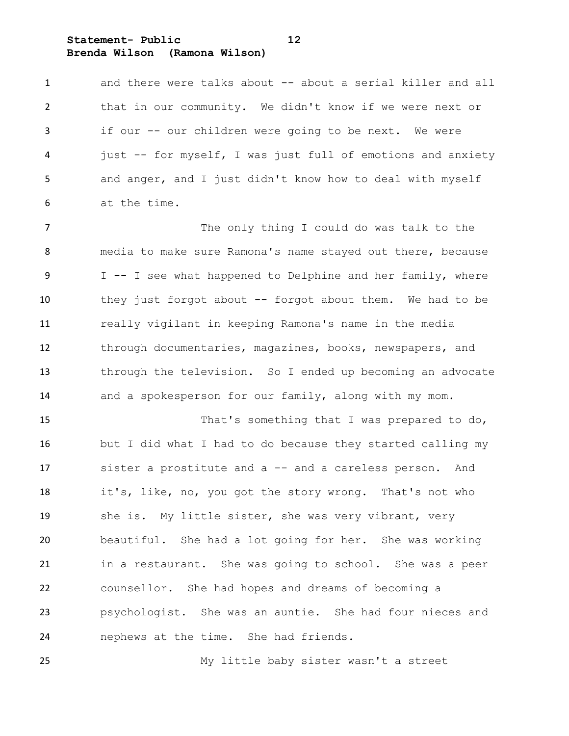**Statement- Public 12 Brenda Wilson (Ramona Wilson)**

1 and there were talks about -- about a serial killer and all that in our community. We didn't know if we were next or if our -- our children were going to be next. We were just -- for myself, I was just full of emotions and anxiety and anger, and I just didn't know how to deal with myself at the time.

7 The only thing I could do was talk to the media to make sure Ramona's name stayed out there, because 9 I -- I see what happened to Delphine and her family, where they just forgot about -- forgot about them. We had to be really vigilant in keeping Ramona's name in the media through documentaries, magazines, books, newspapers, and through the television. So I ended up becoming an advocate and a spokesperson for our family, along with my mom.

 That's something that I was prepared to do, but I did what I had to do because they started calling my sister a prostitute and a -- and a careless person. And it's, like, no, you got the story wrong. That's not who 19 she is. My little sister, she was very vibrant, very beautiful. She had a lot going for her. She was working in a restaurant. She was going to school. She was a peer counsellor. She had hopes and dreams of becoming a psychologist. She was an auntie. She had four nieces and nephews at the time. She had friends.

My little baby sister wasn't a street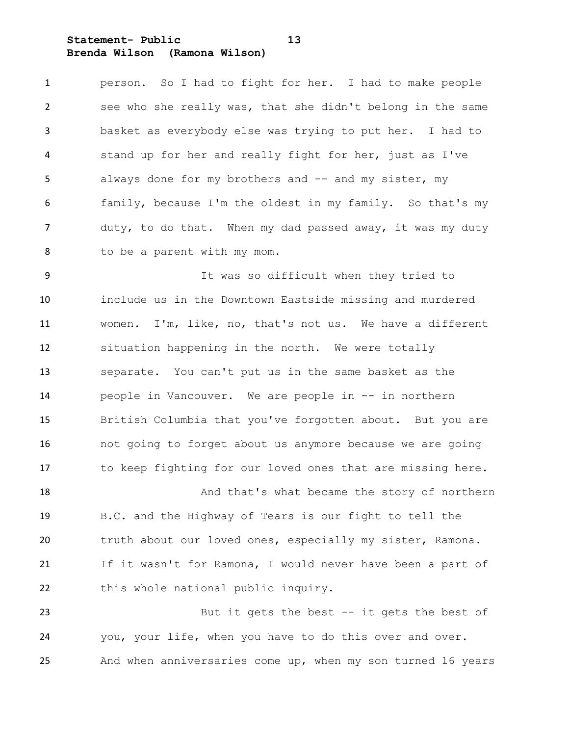### **Statement- Public 13 Brenda Wilson (Ramona Wilson)**

 person. So I had to fight for her. I had to make people see who she really was, that she didn't belong in the same basket as everybody else was trying to put her. I had to stand up for her and really fight for her, just as I've 5 always done for my brothers and -- and my sister, my family, because I'm the oldest in my family. So that's my 7 duty, to do that. When my dad passed away, it was my duty to be a parent with my mom.

 It was so difficult when they tried to include us in the Downtown Eastside missing and murdered women. I'm, like, no, that's not us. We have a different situation happening in the north. We were totally separate. You can't put us in the same basket as the people in Vancouver. We are people in -- in northern British Columbia that you've forgotten about. But you are not going to forget about us anymore because we are going to keep fighting for our loved ones that are missing here.

 And that's what became the story of northern B.C. and the Highway of Tears is our fight to tell the truth about our loved ones, especially my sister, Ramona. If it wasn't for Ramona, I would never have been a part of 22 this whole national public inquiry.

 But it gets the best -- it gets the best of you, your life, when you have to do this over and over. And when anniversaries come up, when my son turned 16 years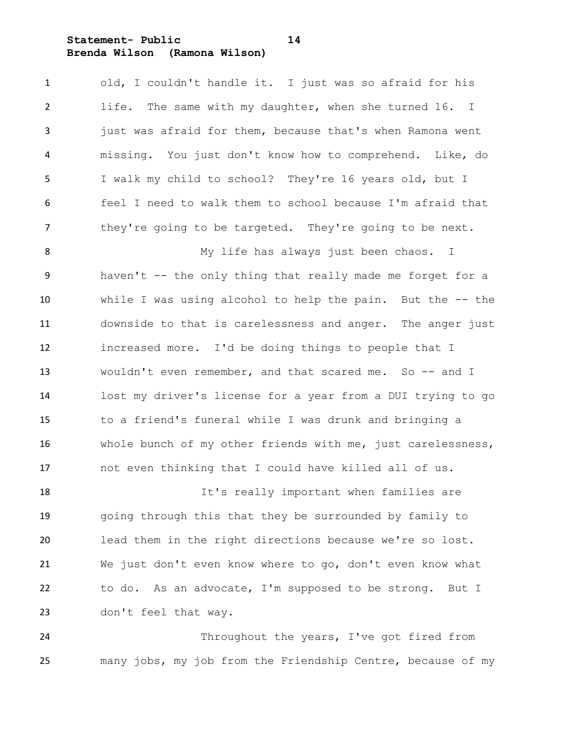**Statement- Public 14 Brenda Wilson (Ramona Wilson)**

 old, I couldn't handle it. I just was so afraid for his life. The same with my daughter, when she turned 16. I just was afraid for them, because that's when Ramona went missing. You just don't know how to comprehend. Like, do I walk my child to school? They're 16 years old, but I feel I need to walk them to school because I'm afraid that 7 they're going to be targeted. They're going to be next.

 My life has always just been chaos. I haven't -- the only thing that really made me forget for a while I was using alcohol to help the pain. But the -- the downside to that is carelessness and anger. The anger just increased more. I'd be doing things to people that I wouldn't even remember, and that scared me. So -- and I lost my driver's license for a year from a DUI trying to go to a friend's funeral while I was drunk and bringing a whole bunch of my other friends with me, just carelessness, not even thinking that I could have killed all of us.

 It's really important when families are going through this that they be surrounded by family to lead them in the right directions because we're so lost. We just don't even know where to go, don't even know what to do. As an advocate, I'm supposed to be strong. But I don't feel that way.

24 Throughout the years, I've got fired from many jobs, my job from the Friendship Centre, because of my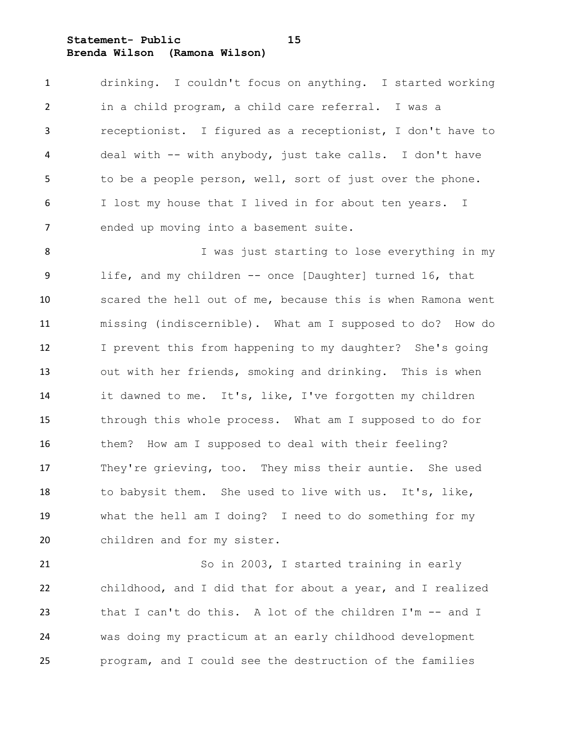**Statement- Public 15 Brenda Wilson (Ramona Wilson)**

 drinking. I couldn't focus on anything. I started working in a child program, a child care referral. I was a receptionist. I figured as a receptionist, I don't have to deal with -- with anybody, just take calls. I don't have to be a people person, well, sort of just over the phone. I lost my house that I lived in for about ten years. I ended up moving into a basement suite.

 I was just starting to lose everything in my life, and my children -- once [Daughter] turned 16, that scared the hell out of me, because this is when Ramona went missing (indiscernible). What am I supposed to do? How do I prevent this from happening to my daughter? She's going out with her friends, smoking and drinking. This is when it dawned to me. It's, like, I've forgotten my children through this whole process. What am I supposed to do for them? How am I supposed to deal with their feeling? They're grieving, too. They miss their auntie. She used to babysit them. She used to live with us. It's, like, what the hell am I doing? I need to do something for my children and for my sister.

 So in 2003, I started training in early childhood, and I did that for about a year, and I realized that I can't do this. A lot of the children I'm -- and I was doing my practicum at an early childhood development program, and I could see the destruction of the families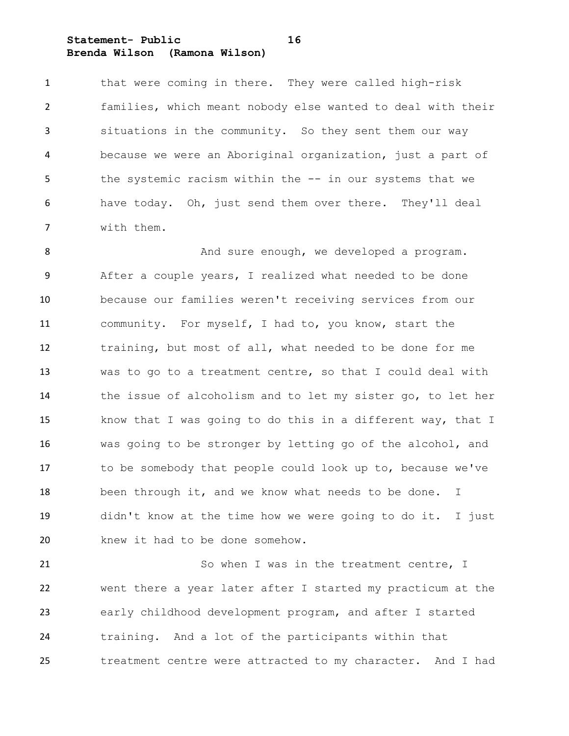**Statement- Public 16 Brenda Wilson (Ramona Wilson)**

 that were coming in there. They were called high-risk families, which meant nobody else wanted to deal with their situations in the community. So they sent them our way because we were an Aboriginal organization, just a part of the systemic racism within the -- in our systems that we have today. Oh, just send them over there. They'll deal with them.

 And sure enough, we developed a program. After a couple years, I realized what needed to be done because our families weren't receiving services from our community. For myself, I had to, you know, start the training, but most of all, what needed to be done for me was to go to a treatment centre, so that I could deal with the issue of alcoholism and to let my sister go, to let her know that I was going to do this in a different way, that I was going to be stronger by letting go of the alcohol, and to be somebody that people could look up to, because we've 18 been through it, and we know what needs to be done. I didn't know at the time how we were going to do it. I just knew it had to be done somehow.

 So when I was in the treatment centre, I went there a year later after I started my practicum at the early childhood development program, and after I started training. And a lot of the participants within that treatment centre were attracted to my character. And I had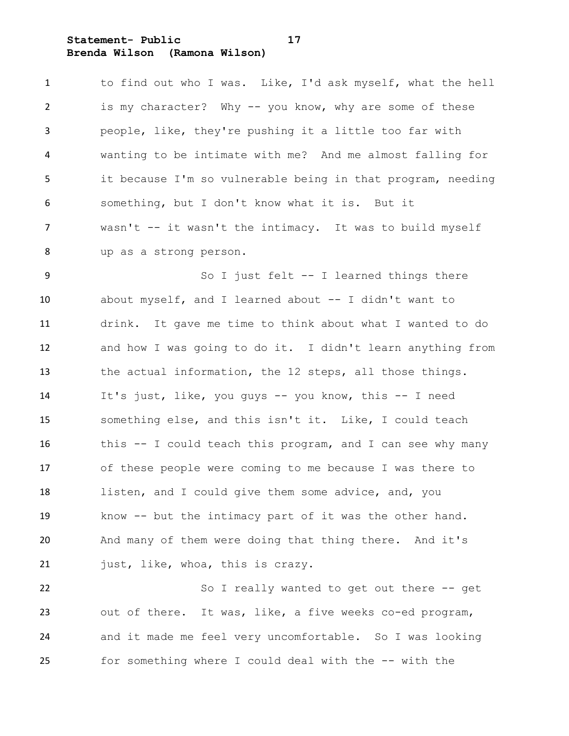**Statement- Public 17 Brenda Wilson (Ramona Wilson)**

| 1              | to find out who I was. Like, I'd ask myself, what the hell  |
|----------------|-------------------------------------------------------------|
| $\overline{2}$ | is my character? Why -- you know, why are some of these     |
| $\mathbf{3}$   | people, like, they're pushing it a little too far with      |
| $\overline{4}$ | wanting to be intimate with me? And me almost falling for   |
| 5              | it because I'm so vulnerable being in that program, needing |
| 6              | something, but I don't know what it is. But it              |
| $7^{\circ}$    | wasn't -- it wasn't the intimacy. It was to build myself    |
| 8              | up as a strong person.                                      |

9 So I just felt -- I learned things there about myself, and I learned about -- I didn't want to drink. It gave me time to think about what I wanted to do and how I was going to do it. I didn't learn anything from the actual information, the 12 steps, all those things. It's just, like, you guys -- you know, this -- I need something else, and this isn't it. Like, I could teach this -- I could teach this program, and I can see why many of these people were coming to me because I was there to listen, and I could give them some advice, and, you know -- but the intimacy part of it was the other hand. And many of them were doing that thing there. And it's 21 just, like, whoa, this is crazy.

22 So I really wanted to get out there -- get out of there. It was, like, a five weeks co-ed program, and it made me feel very uncomfortable. So I was looking for something where I could deal with the -- with the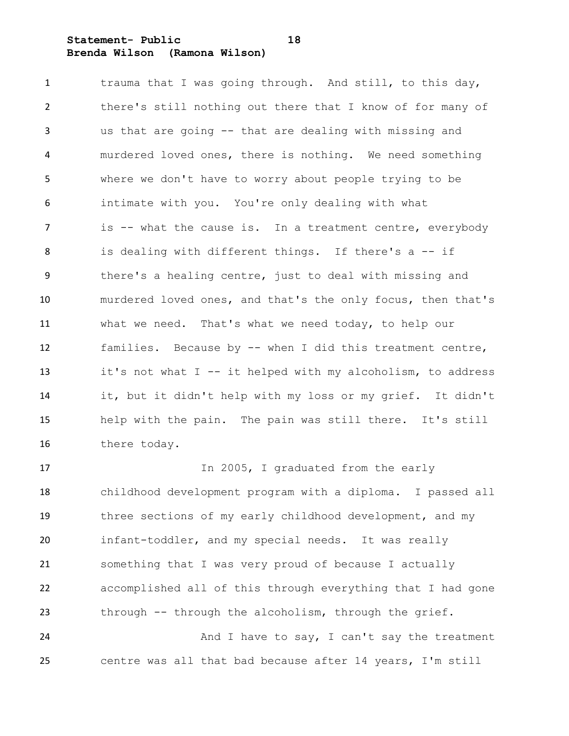### **Statement- Public 18 Brenda Wilson (Ramona Wilson)**

1 trauma that I was going through. And still, to this day, there's still nothing out there that I know of for many of us that are going -- that are dealing with missing and murdered loved ones, there is nothing. We need something where we don't have to worry about people trying to be intimate with you. You're only dealing with what 7 is -- what the cause is. In a treatment centre, everybody is dealing with different things. If there's a -- if there's a healing centre, just to deal with missing and murdered loved ones, and that's the only focus, then that's what we need. That's what we need today, to help our families. Because by -- when I did this treatment centre, it's not what I -- it helped with my alcoholism, to address it, but it didn't help with my loss or my grief. It didn't help with the pain. The pain was still there. It's still there today.

17 In 2005, I graduated from the early childhood development program with a diploma. I passed all three sections of my early childhood development, and my infant-toddler, and my special needs. It was really something that I was very proud of because I actually accomplished all of this through everything that I had gone through -- through the alcoholism, through the grief. 24 And I have to say, I can't say the treatment

centre was all that bad because after 14 years, I'm still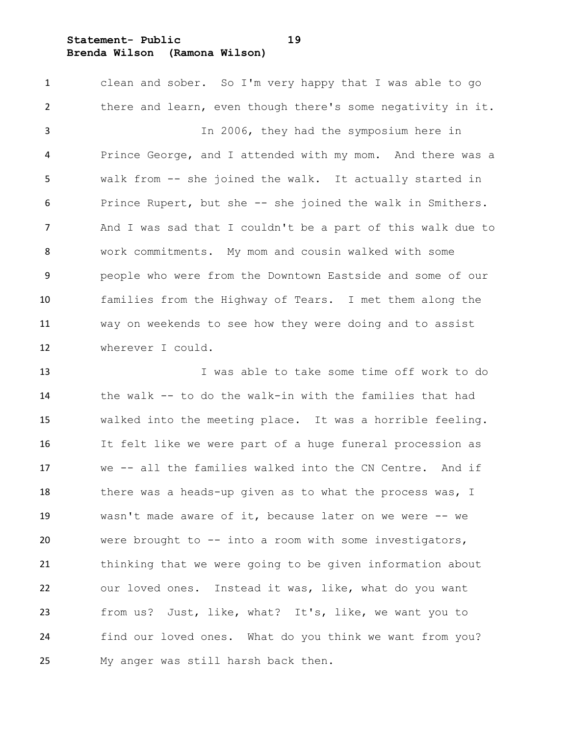**Statement- Public 19 Brenda Wilson (Ramona Wilson)**

 clean and sober. So I'm very happy that I was able to go there and learn, even though there's some negativity in it. In 2006, they had the symposium here in Prince George, and I attended with my mom. And there was a walk from -- she joined the walk. It actually started in Prince Rupert, but she -- she joined the walk in Smithers. And I was sad that I couldn't be a part of this walk due to work commitments. My mom and cousin walked with some people who were from the Downtown Eastside and some of our families from the Highway of Tears. I met them along the way on weekends to see how they were doing and to assist wherever I could.

 I was able to take some time off work to do the walk -- to do the walk-in with the families that had walked into the meeting place. It was a horrible feeling. It felt like we were part of a huge funeral procession as we -- all the families walked into the CN Centre. And if 18 there was a heads-up given as to what the process was, I wasn't made aware of it, because later on we were -- we were brought to -- into a room with some investigators, thinking that we were going to be given information about our loved ones. Instead it was, like, what do you want from us? Just, like, what? It's, like, we want you to find our loved ones. What do you think we want from you? My anger was still harsh back then.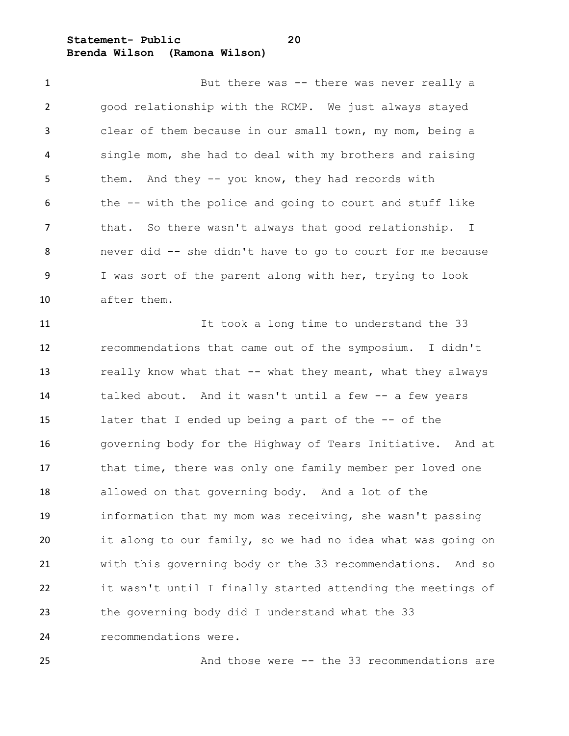**Statement- Public 20 Brenda Wilson (Ramona Wilson)**

1 But there was -- there was never really a good relationship with the RCMP. We just always stayed clear of them because in our small town, my mom, being a single mom, she had to deal with my brothers and raising 5 them. And they -- you know, they had records with the -- with the police and going to court and stuff like that. So there wasn't always that good relationship. I never did -- she didn't have to go to court for me because I was sort of the parent along with her, trying to look after them.

 It took a long time to understand the 33 recommendations that came out of the symposium. I didn't 13 really know what that -- what they meant, what they always talked about. And it wasn't until a few -- a few years later that I ended up being a part of the -- of the governing body for the Highway of Tears Initiative. And at 17 that time, there was only one family member per loved one allowed on that governing body. And a lot of the information that my mom was receiving, she wasn't passing it along to our family, so we had no idea what was going on with this governing body or the 33 recommendations. And so it wasn't until I finally started attending the meetings of the governing body did I understand what the 33 recommendations were.

And those were -- the 33 recommendations are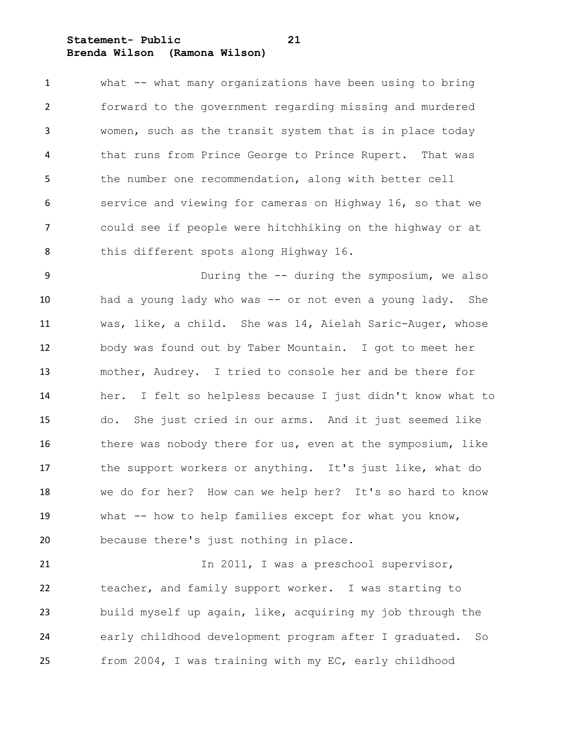### **Statement- Public 21 Brenda Wilson (Ramona Wilson)**

 what -- what many organizations have been using to bring forward to the government regarding missing and murdered women, such as the transit system that is in place today that runs from Prince George to Prince Rupert. That was the number one recommendation, along with better cell service and viewing for cameras on Highway 16, so that we could see if people were hitchhiking on the highway or at this different spots along Highway 16.

 During the -- during the symposium, we also had a young lady who was -- or not even a young lady. She was, like, a child. She was 14, Aielah Saric-Auger, whose body was found out by Taber Mountain. I got to meet her mother, Audrey. I tried to console her and be there for her. I felt so helpless because I just didn't know what to do. She just cried in our arms. And it just seemed like 16 there was nobody there for us, even at the symposium, like 17 the support workers or anything. It's just like, what do we do for her? How can we help her? It's so hard to know what -- how to help families except for what you know, because there's just nothing in place.

21 In 2011, I was a preschool supervisor, teacher, and family support worker. I was starting to build myself up again, like, acquiring my job through the early childhood development program after I graduated. So from 2004, I was training with my EC, early childhood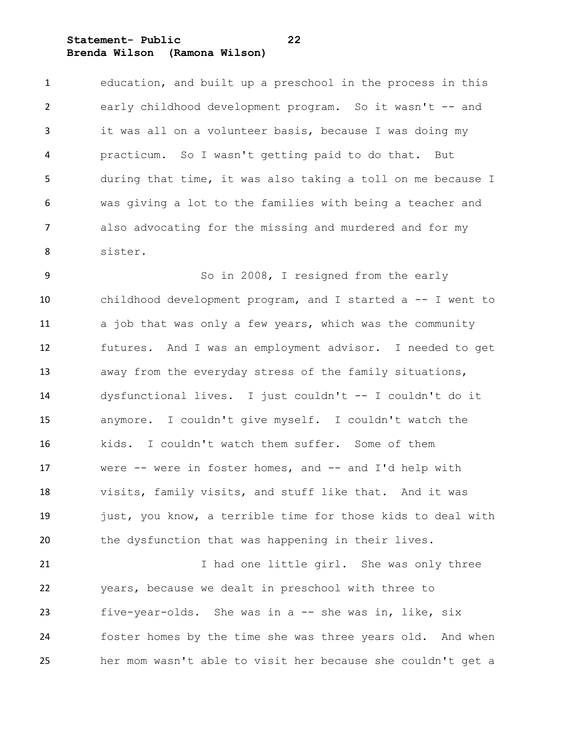**Statement- Public 22 Brenda Wilson (Ramona Wilson)**

 education, and built up a preschool in the process in this early childhood development program. So it wasn't -- and it was all on a volunteer basis, because I was doing my practicum. So I wasn't getting paid to do that. But during that time, it was also taking a toll on me because I was giving a lot to the families with being a teacher and also advocating for the missing and murdered and for my sister.

 So in 2008, I resigned from the early childhood development program, and I started a -- I went to 11 a job that was only a few years, which was the community futures. And I was an employment advisor. I needed to get away from the everyday stress of the family situations, dysfunctional lives. I just couldn't -- I couldn't do it anymore. I couldn't give myself. I couldn't watch the kids. I couldn't watch them suffer. Some of them were -- were in foster homes, and -- and I'd help with visits, family visits, and stuff like that. And it was 19 just, you know, a terrible time for those kids to deal with the dysfunction that was happening in their lives.

21 I had one little girl. She was only three years, because we dealt in preschool with three to five-year-olds. She was in a -- she was in, like, six foster homes by the time she was three years old. And when her mom wasn't able to visit her because she couldn't get a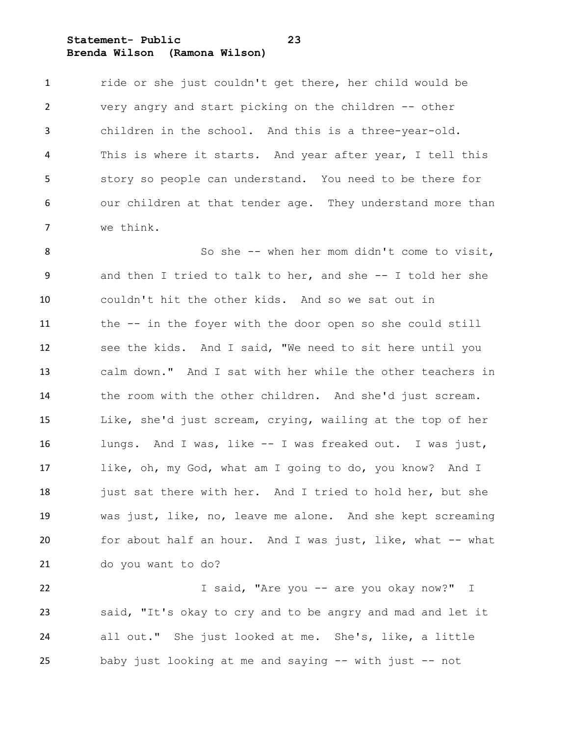**Statement- Public 23 Brenda Wilson (Ramona Wilson)**

 ride or she just couldn't get there, her child would be very angry and start picking on the children -- other children in the school. And this is a three-year-old. This is where it starts. And year after year, I tell this story so people can understand. You need to be there for our children at that tender age. They understand more than we think.

 So she -- when her mom didn't come to visit, and then I tried to talk to her, and she -- I told her she couldn't hit the other kids. And so we sat out in the -- in the foyer with the door open so she could still see the kids. And I said, "We need to sit here until you calm down." And I sat with her while the other teachers in the room with the other children. And she'd just scream. Like, she'd just scream, crying, wailing at the top of her lungs. And I was, like -- I was freaked out. I was just, like, oh, my God, what am I going to do, you know? And I 18 just sat there with her. And I tried to hold her, but she was just, like, no, leave me alone. And she kept screaming for about half an hour. And I was just, like, what -- what do you want to do?

 I said, "Are you -- are you okay now?" I said, "It's okay to cry and to be angry and mad and let it all out." She just looked at me. She's, like, a little baby just looking at me and saying -- with just -- not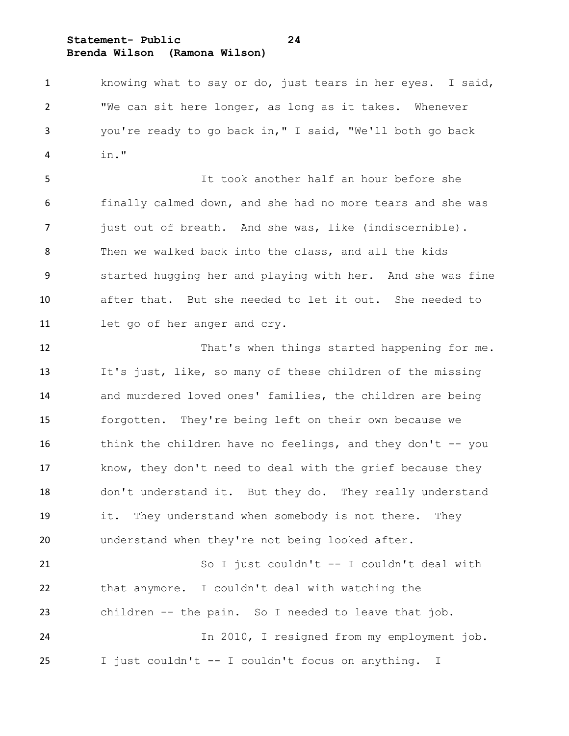### **Statement- Public 24 Brenda Wilson (Ramona Wilson)**

 knowing what to say or do, just tears in her eyes. I said, "We can sit here longer, as long as it takes. Whenever you're ready to go back in," I said, "We'll both go back in."

 It took another half an hour before she finally calmed down, and she had no more tears and she was just out of breath. And she was, like (indiscernible). Then we walked back into the class, and all the kids started hugging her and playing with her. And she was fine after that. But she needed to let it out. She needed to let go of her anger and cry.

12 That's when things started happening for me. It's just, like, so many of these children of the missing and murdered loved ones' families, the children are being forgotten. They're being left on their own because we 16 think the children have no feelings, and they don't -- you know, they don't need to deal with the grief because they don't understand it. But they do. They really understand it. They understand when somebody is not there. They understand when they're not being looked after.

 So I just couldn't -- I couldn't deal with that anymore. I couldn't deal with watching the children -- the pain. So I needed to leave that job. In 2010, I resigned from my employment job. I just couldn't -- I couldn't focus on anything. I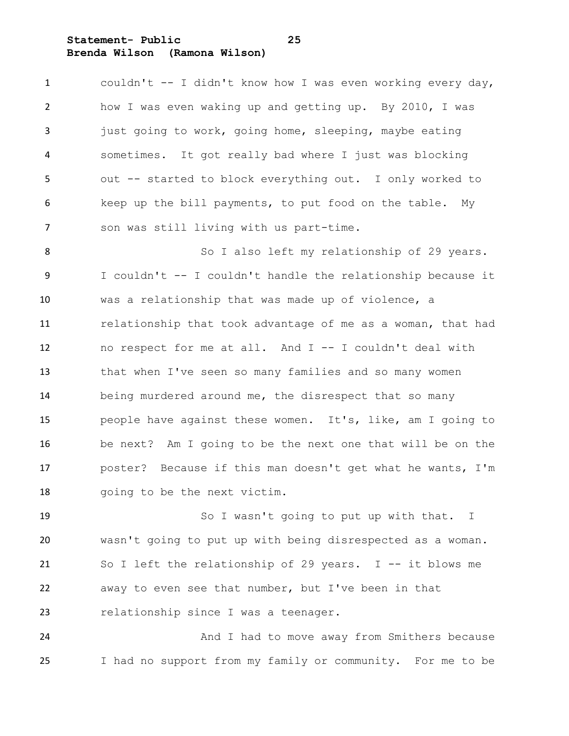**Statement- Public 25 Brenda Wilson (Ramona Wilson)**

 couldn't -- I didn't know how I was even working every day, how I was even waking up and getting up. By 2010, I was 3 just going to work, going home, sleeping, maybe eating sometimes. It got really bad where I just was blocking out -- started to block everything out. I only worked to keep up the bill payments, to put food on the table. My son was still living with us part-time.

8 So I also left my relationship of 29 years. I couldn't -- I couldn't handle the relationship because it was a relationship that was made up of violence, a relationship that took advantage of me as a woman, that had no respect for me at all. And I -- I couldn't deal with that when I've seen so many families and so many women being murdered around me, the disrespect that so many people have against these women. It's, like, am I going to be next? Am I going to be the next one that will be on the poster? Because if this man doesn't get what he wants, I'm going to be the next victim.

 So I wasn't going to put up with that. I wasn't going to put up with being disrespected as a woman. So I left the relationship of 29 years. I -- it blows me away to even see that number, but I've been in that relationship since I was a teenager.

24 And I had to move away from Smithers because I had no support from my family or community. For me to be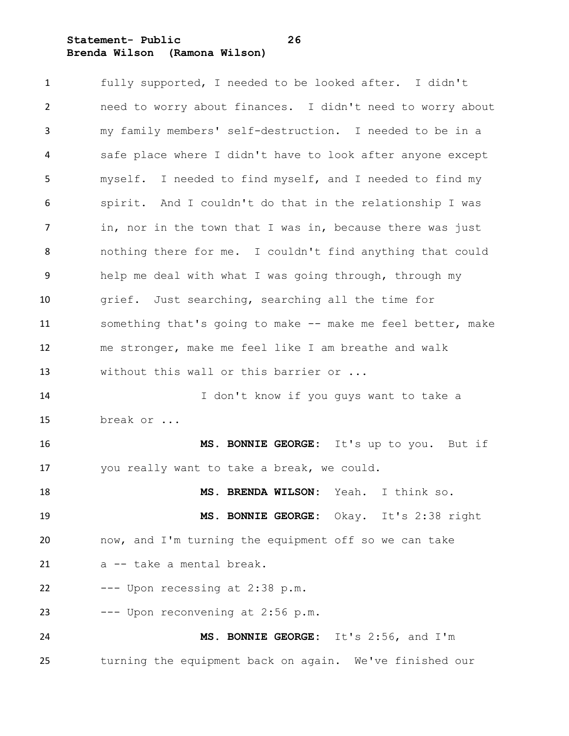**Statement- Public 26 Brenda Wilson (Ramona Wilson)**

 fully supported, I needed to be looked after. I didn't need to worry about finances. I didn't need to worry about my family members' self-destruction. I needed to be in a safe place where I didn't have to look after anyone except myself. I needed to find myself, and I needed to find my spirit. And I couldn't do that in the relationship I was in, nor in the town that I was in, because there was just nothing there for me. I couldn't find anything that could help me deal with what I was going through, through my grief. Just searching, searching all the time for 11 something that's going to make -- make me feel better, make me stronger, make me feel like I am breathe and walk 13 without this wall or this barrier or ... I don't know if you guys want to take a break or ... **MS. BONNIE GEORGE:** It's up to you. But if you really want to take a break, we could. **MS. BRENDA WILSON:** Yeah. I think so. **MS. BONNIE GEORGE:** Okay. It's 2:38 right now, and I'm turning the equipment off so we can take a -- take a mental break. --- Upon recessing at 2:38 p.m. --- Upon reconvening at 2:56 p.m. **MS. BONNIE GEORGE:** It's 2:56, and I'm turning the equipment back on again. We've finished our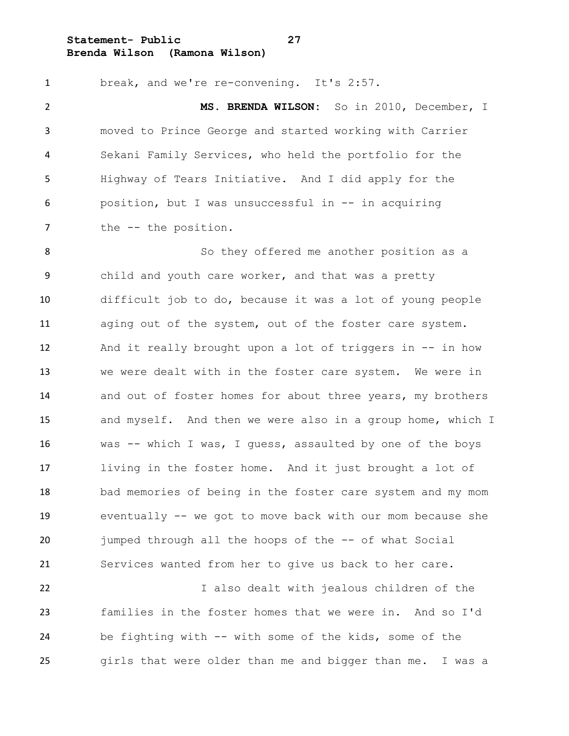**Statement- Public 27 Brenda Wilson (Ramona Wilson)**

 break, and we're re-convening. It's 2:57. **MS. BRENDA WILSON:** So in 2010, December, I moved to Prince George and started working with Carrier Sekani Family Services, who held the portfolio for the Highway of Tears Initiative. And I did apply for the position, but I was unsuccessful in -- in acquiring 7 the -- the position.

 So they offered me another position as a child and youth care worker, and that was a pretty difficult job to do, because it was a lot of young people aging out of the system, out of the foster care system. And it really brought upon a lot of triggers in -- in how we were dealt with in the foster care system. We were in and out of foster homes for about three years, my brothers and myself. And then we were also in a group home, which I was -- which I was, I guess, assaulted by one of the boys living in the foster home. And it just brought a lot of bad memories of being in the foster care system and my mom eventually -- we got to move back with our mom because she jumped through all the hoops of the -- of what Social Services wanted from her to give us back to her care.

 I also dealt with jealous children of the families in the foster homes that we were in. And so I'd be fighting with -- with some of the kids, some of the girls that were older than me and bigger than me. I was a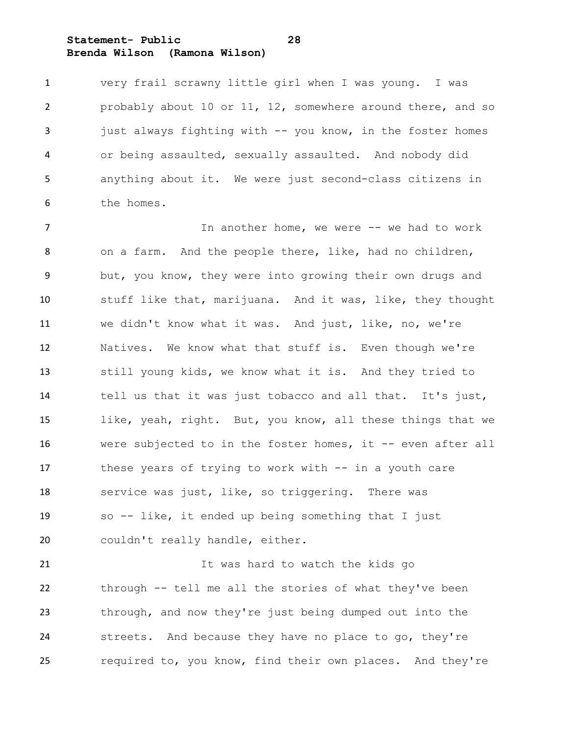**Statement- Public 28 Brenda Wilson (Ramona Wilson)**

 very frail scrawny little girl when I was young. I was probably about 10 or 11, 12, somewhere around there, and so just always fighting with -- you know, in the foster homes or being assaulted, sexually assaulted. And nobody did anything about it. We were just second-class citizens in the homes.

7 The interpret of the Monday we were  $-$  we had to work on a farm. And the people there, like, had no children, but, you know, they were into growing their own drugs and stuff like that, marijuana. And it was, like, they thought we didn't know what it was. And just, like, no, we're Natives. We know what that stuff is. Even though we're still young kids, we know what it is. And they tried to tell us that it was just tobacco and all that. It's just, like, yeah, right. But, you know, all these things that we were subjected to in the foster homes, it -- even after all these years of trying to work with -- in a youth care service was just, like, so triggering. There was so -- like, it ended up being something that I just couldn't really handle, either.

 It was hard to watch the kids go through -- tell me all the stories of what they've been through, and now they're just being dumped out into the streets. And because they have no place to go, they're required to, you know, find their own places. And they're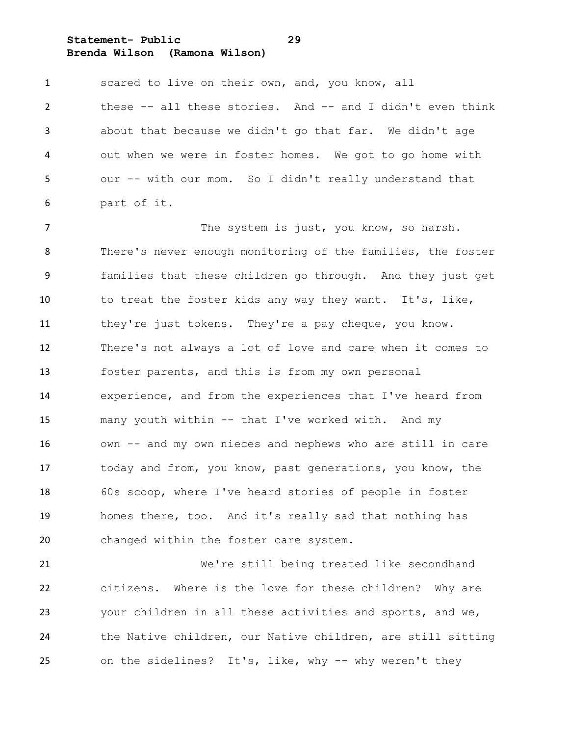**Statement- Public 29 Brenda Wilson (Ramona Wilson)**

1 scared to live on their own, and, you know, all these -- all these stories. And -- and I didn't even think about that because we didn't go that far. We didn't age out when we were in foster homes. We got to go home with our -- with our mom. So I didn't really understand that part of it.

 The system is just, you know, so harsh. There's never enough monitoring of the families, the foster families that these children go through. And they just get to treat the foster kids any way they want. It's, like, 11 they're just tokens. They're a pay cheque, you know. There's not always a lot of love and care when it comes to foster parents, and this is from my own personal experience, and from the experiences that I've heard from many youth within -- that I've worked with. And my own -- and my own nieces and nephews who are still in care today and from, you know, past generations, you know, the 60s scoop, where I've heard stories of people in foster homes there, too. And it's really sad that nothing has changed within the foster care system.

 We're still being treated like secondhand citizens. Where is the love for these children? Why are your children in all these activities and sports, and we, the Native children, our Native children, are still sitting on the sidelines? It's, like, why -- why weren't they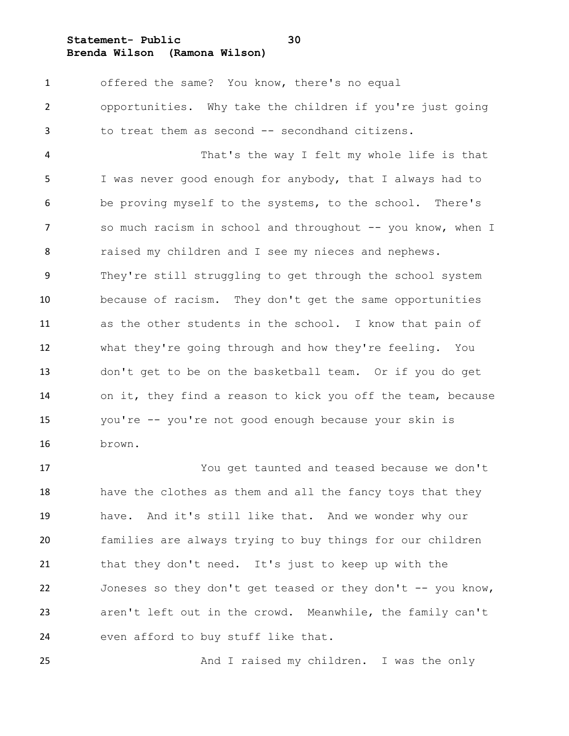**Statement- Public 30**

**Brenda Wilson (Ramona Wilson)**

 offered the same? You know, there's no equal opportunities. Why take the children if you're just going to treat them as second -- secondhand citizens. That's the way I felt my whole life is that I was never good enough for anybody, that I always had to be proving myself to the systems, to the school. There's 7 so much racism in school and throughout -- you know, when I raised my children and I see my nieces and nephews. They're still struggling to get through the school system because of racism. They don't get the same opportunities as the other students in the school. I know that pain of what they're going through and how they're feeling. You don't get to be on the basketball team. Or if you do get on it, they find a reason to kick you off the team, because you're -- you're not good enough because your skin is brown.

 You get taunted and teased because we don't have the clothes as them and all the fancy toys that they have. And it's still like that. And we wonder why our families are always trying to buy things for our children that they don't need. It's just to keep up with the 22 Joneses so they don't get teased or they don't -- you know, aren't left out in the crowd. Meanwhile, the family can't even afford to buy stuff like that.

25 And I raised my children. I was the only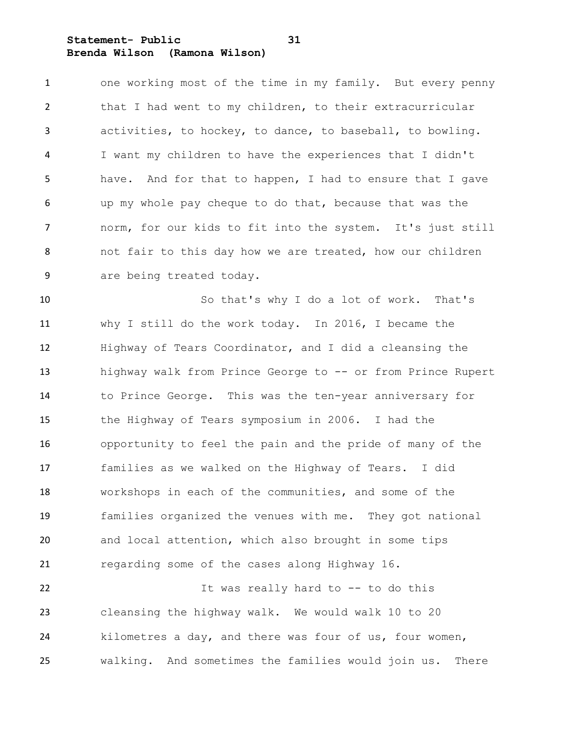**Statement- Public 31 Brenda Wilson (Ramona Wilson)**

 one working most of the time in my family. But every penny 2 that I had went to my children, to their extracurricular activities, to hockey, to dance, to baseball, to bowling. I want my children to have the experiences that I didn't have. And for that to happen, I had to ensure that I gave up my whole pay cheque to do that, because that was the norm, for our kids to fit into the system. It's just still not fair to this day how we are treated, how our children are being treated today.

 So that's why I do a lot of work. That's why I still do the work today. In 2016, I became the Highway of Tears Coordinator, and I did a cleansing the highway walk from Prince George to -- or from Prince Rupert to Prince George. This was the ten-year anniversary for the Highway of Tears symposium in 2006. I had the opportunity to feel the pain and the pride of many of the families as we walked on the Highway of Tears. I did workshops in each of the communities, and some of the families organized the venues with me. They got national and local attention, which also brought in some tips regarding some of the cases along Highway 16.

 It was really hard to -- to do this cleansing the highway walk. We would walk 10 to 20 kilometres a day, and there was four of us, four women, walking. And sometimes the families would join us. There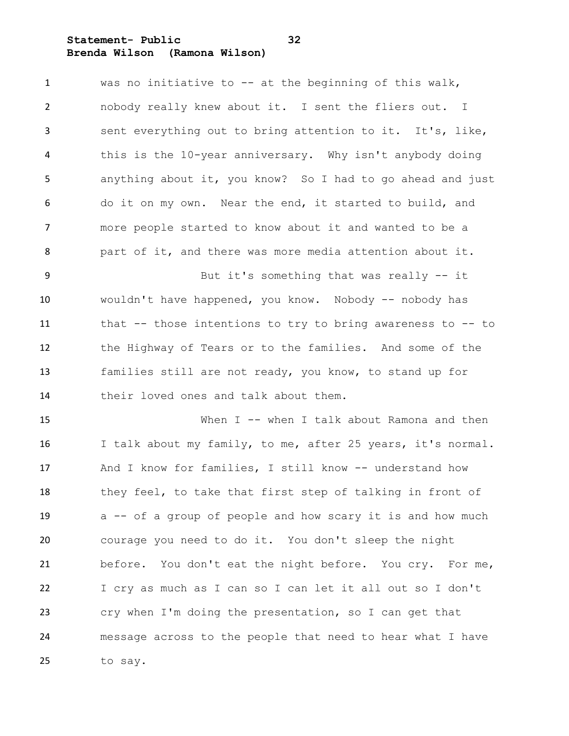**Statement- Public 32 Brenda Wilson (Ramona Wilson)**

| $\mathbf{1}$ | was no initiative to $-$ at the beginning of this walk,     |
|--------------|-------------------------------------------------------------|
| 2            | nobody really knew about it. I sent the fliers out. I       |
| 3            | sent everything out to bring attention to it. It's, like,   |
| 4            | this is the 10-year anniversary. Why isn't anybody doing    |
| 5            | anything about it, you know? So I had to go ahead and just  |
| 6            | do it on my own. Near the end, it started to build, and     |
| 7            | more people started to know about it and wanted to be a     |
| 8            | part of it, and there was more media attention about it.    |
| 9            | But it's something that was really -- it                    |
| 10           | wouldn't have happened, you know. Nobody -- nobody has      |
| 11           | that -- those intentions to try to bring awareness to -- to |
| 12           | the Highway of Tears or to the families. And some of the    |
| 13           | families still are not ready, you know, to stand up for     |
| 14           | their loved ones and talk about them.                       |
| 15           | When I -- when I talk about Ramona and then                 |
| 16           | I talk about my family, to me, after 25 years, it's normal. |
| 17           | And I know for families, I still know -- understand how     |
| 18           | they feel, to take that first step of talking in front of   |
| 19           | a -- of a group of people and how scary it is and how much  |
| 20           | courage you need to do it. You don't sleep the night        |
| 21           | before. You don't eat the night before. You cry. For me,    |
| 22           | I cry as much as I can so I can let it all out so I don't   |
| 23           | cry when I'm doing the presentation, so I can get that      |
| 24           | message across to the people that need to hear what I have  |
| 25           | to say.                                                     |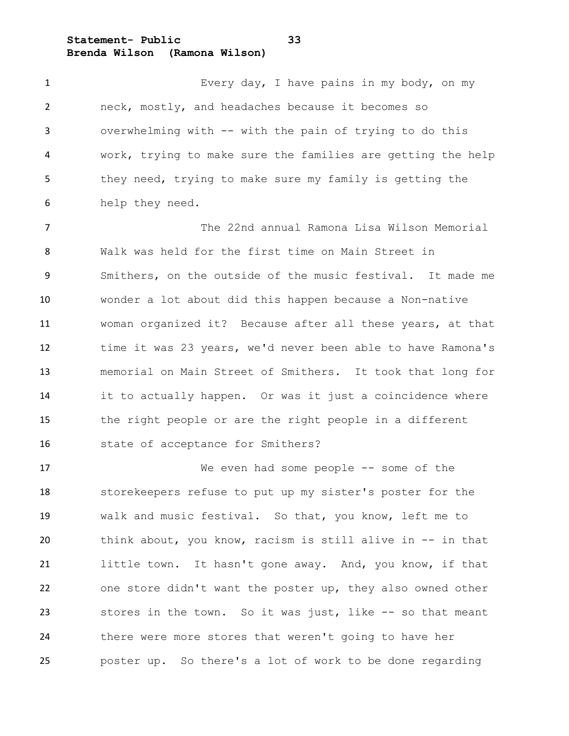**Statement- Public 33 Brenda Wilson (Ramona Wilson)**

1 Every day, I have pains in my body, on my neck, mostly, and headaches because it becomes so overwhelming with -- with the pain of trying to do this work, trying to make sure the families are getting the help they need, trying to make sure my family is getting the help they need.

 The 22nd annual Ramona Lisa Wilson Memorial Walk was held for the first time on Main Street in Smithers, on the outside of the music festival. It made me wonder a lot about did this happen because a Non-native woman organized it? Because after all these years, at that time it was 23 years, we'd never been able to have Ramona's memorial on Main Street of Smithers. It took that long for it to actually happen. Or was it just a coincidence where the right people or are the right people in a different state of acceptance for Smithers?

 We even had some people -- some of the storekeepers refuse to put up my sister's poster for the walk and music festival. So that, you know, left me to think about, you know, racism is still alive in -- in that little town. It hasn't gone away. And, you know, if that one store didn't want the poster up, they also owned other stores in the town. So it was just, like -- so that meant there were more stores that weren't going to have her poster up. So there's a lot of work to be done regarding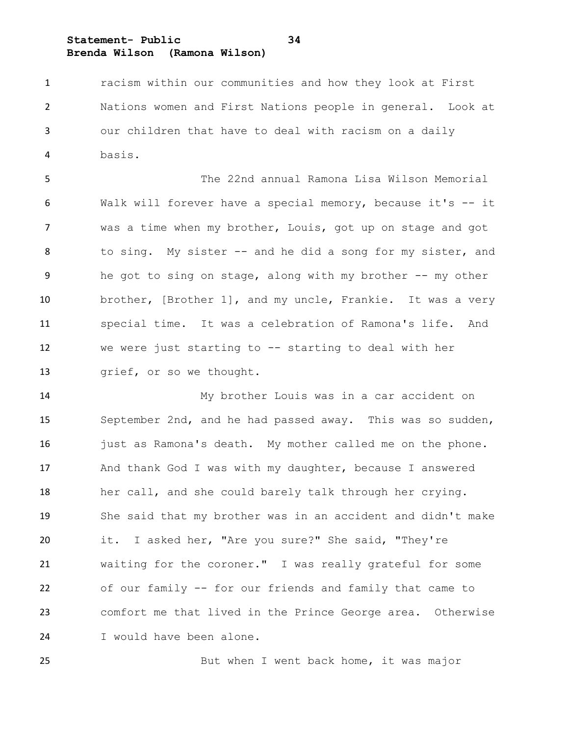**Statement- Public 34 Brenda Wilson (Ramona Wilson)**

 racism within our communities and how they look at First Nations women and First Nations people in general. Look at our children that have to deal with racism on a daily basis.

 The 22nd annual Ramona Lisa Wilson Memorial Walk will forever have a special memory, because it's -- it was a time when my brother, Louis, got up on stage and got to sing. My sister -- and he did a song for my sister, and he got to sing on stage, along with my brother -- my other brother, [Brother 1], and my uncle, Frankie. It was a very special time. It was a celebration of Ramona's life. And we were just starting to -- starting to deal with her 13 grief, or so we thought.

 My brother Louis was in a car accident on September 2nd, and he had passed away. This was so sudden, 16 just as Ramona's death. My mother called me on the phone. And thank God I was with my daughter, because I answered her call, and she could barely talk through her crying. She said that my brother was in an accident and didn't make it. I asked her, "Are you sure?" She said, "They're waiting for the coroner." I was really grateful for some of our family -- for our friends and family that came to comfort me that lived in the Prince George area. Otherwise I would have been alone.

25 But when I went back home, it was major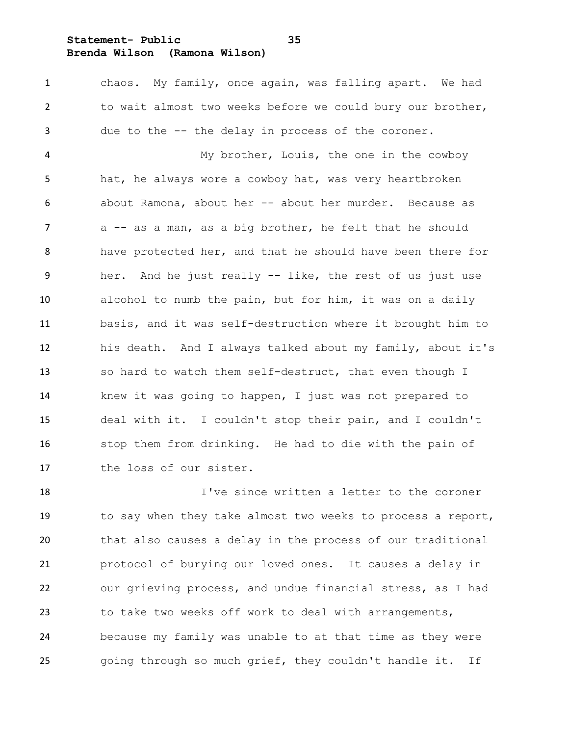**Statement- Public 35**

**Brenda Wilson (Ramona Wilson)**

 chaos. My family, once again, was falling apart. We had to wait almost two weeks before we could bury our brother, due to the -- the delay in process of the coroner.

 My brother, Louis, the one in the cowboy hat, he always wore a cowboy hat, was very heartbroken about Ramona, about her -- about her murder. Because as 7 a -- as a man, as a big brother, he felt that he should have protected her, and that he should have been there for her. And he just really -- like, the rest of us just use alcohol to numb the pain, but for him, it was on a daily basis, and it was self-destruction where it brought him to his death. And I always talked about my family, about it's so hard to watch them self-destruct, that even though I knew it was going to happen, I just was not prepared to deal with it. I couldn't stop their pain, and I couldn't stop them from drinking. He had to die with the pain of the loss of our sister.

 I've since written a letter to the coroner to say when they take almost two weeks to process a report, that also causes a delay in the process of our traditional protocol of burying our loved ones. It causes a delay in our grieving process, and undue financial stress, as I had to take two weeks off work to deal with arrangements, because my family was unable to at that time as they were going through so much grief, they couldn't handle it. If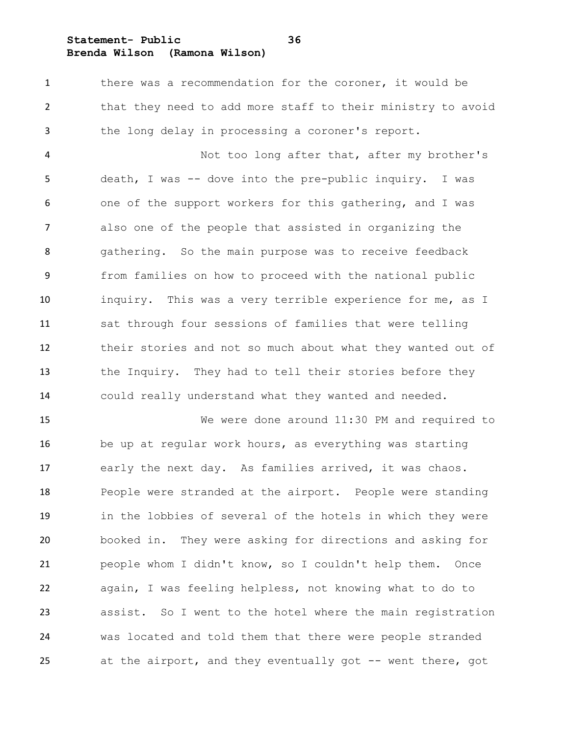**Statement- Public 36**

**Brenda Wilson (Ramona Wilson)**

1 there was a recommendation for the coroner, it would be that they need to add more staff to their ministry to avoid the long delay in processing a coroner's report.

 Not too long after that, after my brother's death, I was -- dove into the pre-public inquiry. I was one of the support workers for this gathering, and I was also one of the people that assisted in organizing the gathering. So the main purpose was to receive feedback from families on how to proceed with the national public inquiry. This was a very terrible experience for me, as I sat through four sessions of families that were telling their stories and not so much about what they wanted out of the Inquiry. They had to tell their stories before they could really understand what they wanted and needed.

 We were done around 11:30 PM and required to be up at regular work hours, as everything was starting early the next day. As families arrived, it was chaos. People were stranded at the airport. People were standing in the lobbies of several of the hotels in which they were booked in. They were asking for directions and asking for people whom I didn't know, so I couldn't help them. Once again, I was feeling helpless, not knowing what to do to assist. So I went to the hotel where the main registration was located and told them that there were people stranded 25 at the airport, and they eventually got -- went there, got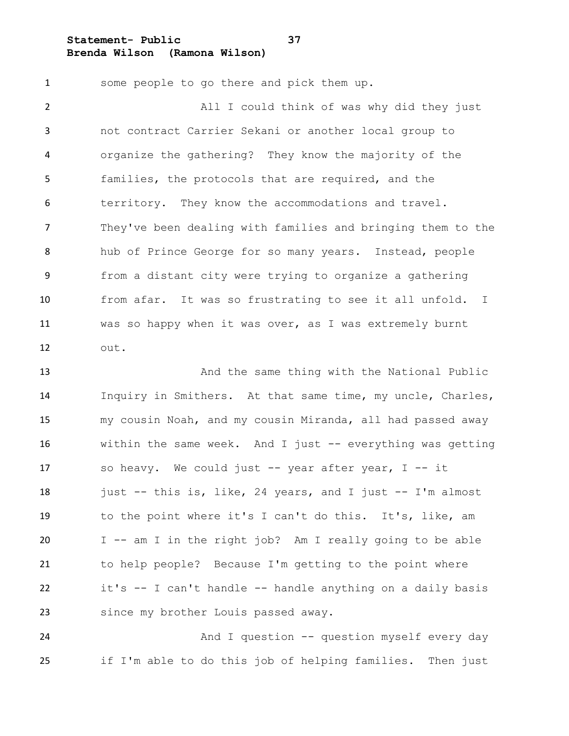**Statement- Public 37 Brenda Wilson (Ramona Wilson)**

 some people to go there and pick them up. All I could think of was why did they just not contract Carrier Sekani or another local group to organize the gathering? They know the majority of the families, the protocols that are required, and the territory. They know the accommodations and travel. They've been dealing with families and bringing them to the hub of Prince George for so many years. Instead, people from a distant city were trying to organize a gathering from afar. It was so frustrating to see it all unfold. I was so happy when it was over, as I was extremely burnt out.

 And the same thing with the National Public Inquiry in Smithers. At that same time, my uncle, Charles, my cousin Noah, and my cousin Miranda, all had passed away within the same week. And I just -- everything was getting so heavy. We could just -- year after year, I -- it 18 iust  $-$  this is, like, 24 years, and I just  $-$  I'm almost to the point where it's I can't do this. It's, like, am I -- am I in the right job? Am I really going to be able to help people? Because I'm getting to the point where it's -- I can't handle -- handle anything on a daily basis 23 since my brother Louis passed away.

 And I question -- question myself every day if I'm able to do this job of helping families. Then just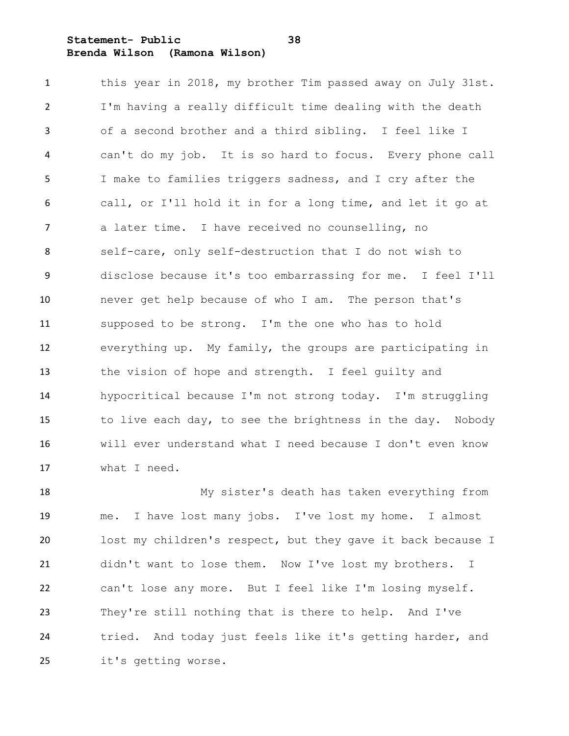### **Statement- Public 38 Brenda Wilson (Ramona Wilson)**

 this year in 2018, my brother Tim passed away on July 31st. I'm having a really difficult time dealing with the death of a second brother and a third sibling. I feel like I can't do my job. It is so hard to focus. Every phone call I make to families triggers sadness, and I cry after the call, or I'll hold it in for a long time, and let it go at a later time. I have received no counselling, no self-care, only self-destruction that I do not wish to disclose because it's too embarrassing for me. I feel I'll never get help because of who I am. The person that's supposed to be strong. I'm the one who has to hold everything up. My family, the groups are participating in the vision of hope and strength. I feel guilty and hypocritical because I'm not strong today. I'm struggling to live each day, to see the brightness in the day. Nobody will ever understand what I need because I don't even know what I need.

 My sister's death has taken everything from me. I have lost many jobs. I've lost my home. I almost lost my children's respect, but they gave it back because I didn't want to lose them. Now I've lost my brothers. I can't lose any more. But I feel like I'm losing myself. They're still nothing that is there to help. And I've tried. And today just feels like it's getting harder, and it's getting worse.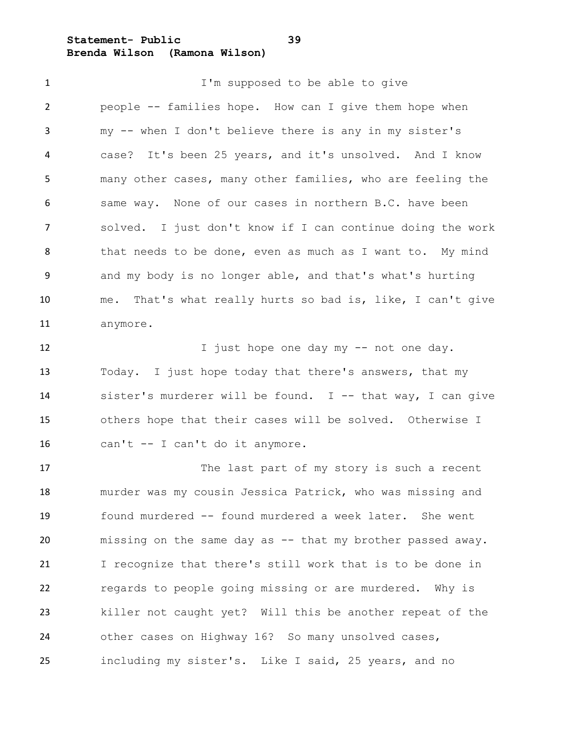**Statement- Public 39 Brenda Wilson (Ramona Wilson)**

**I'm** supposed to be able to give people -- families hope. How can I give them hope when my -- when I don't believe there is any in my sister's case? It's been 25 years, and it's unsolved. And I know many other cases, many other families, who are feeling the same way. None of our cases in northern B.C. have been solved. I just don't know if I can continue doing the work that needs to be done, even as much as I want to. My mind and my body is no longer able, and that's what's hurting me. That's what really hurts so bad is, like, I can't give anymore.

12 I just hope one day my -- not one day. Today. I just hope today that there's answers, that my sister's murderer will be found. I -- that way, I can give others hope that their cases will be solved. Otherwise I can't -- I can't do it anymore.

17 The last part of my story is such a recent murder was my cousin Jessica Patrick, who was missing and found murdered -- found murdered a week later. She went missing on the same day as -- that my brother passed away. I recognize that there's still work that is to be done in regards to people going missing or are murdered. Why is killer not caught yet? Will this be another repeat of the other cases on Highway 16? So many unsolved cases, including my sister's. Like I said, 25 years, and no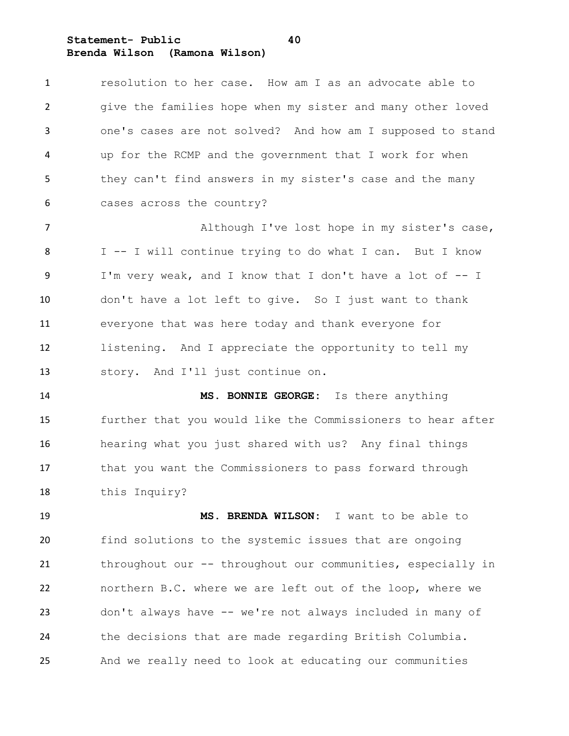**Statement- Public 40 Brenda Wilson (Ramona Wilson)**

story. And I'll just continue on.

| $\mathbf{1}$   | resolution to her case. How am I as an advocate able to    |
|----------------|------------------------------------------------------------|
| $\overline{2}$ | give the families hope when my sister and many other loved |
| 3              | one's cases are not solved? And how am I supposed to stand |
| 4              | up for the RCMP and the government that I work for when    |
| 5              | they can't find answers in my sister's case and the many   |
| 6              | cases across the country?                                  |
| $\overline{7}$ | Although I've lost hope in my sister's case,               |
| 8              | I -- I will continue trying to do what I can. But I know   |
| -9             | I'm very weak, and I know that I don't have a lot of -- I  |
| 10             | don't have a lot left to give. So I just want to thank     |
| 11             | everyone that was here today and thank everyone for        |
| 12             | listening. And I appreciate the opportunity to tell my     |
|                |                                                            |

 **MS. BONNIE GEORGE:** Is there anything further that you would like the Commissioners to hear after hearing what you just shared with us? Any final things that you want the Commissioners to pass forward through this Inquiry?

 **MS. BRENDA WILSON:** I want to be able to find solutions to the systemic issues that are ongoing throughout our -- throughout our communities, especially in northern B.C. where we are left out of the loop, where we don't always have -- we're not always included in many of the decisions that are made regarding British Columbia. And we really need to look at educating our communities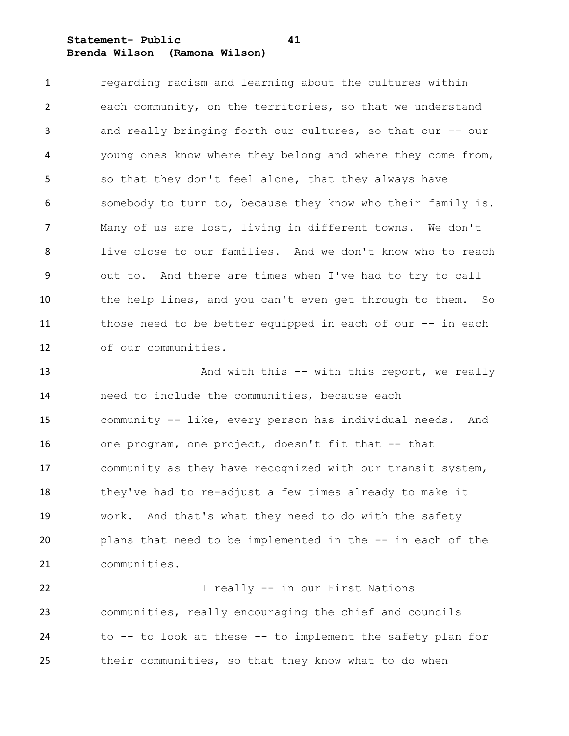**Statement- Public 41 Brenda Wilson (Ramona Wilson)**

 regarding racism and learning about the cultures within each community, on the territories, so that we understand and really bringing forth our cultures, so that our -- our young ones know where they belong and where they come from, so that they don't feel alone, that they always have somebody to turn to, because they know who their family is. Many of us are lost, living in different towns. We don't live close to our families. And we don't know who to reach out to. And there are times when I've had to try to call the help lines, and you can't even get through to them. So those need to be better equipped in each of our -- in each of our communities.

13 And with this -- with this report, we really need to include the communities, because each community -- like, every person has individual needs. And one program, one project, doesn't fit that -- that community as they have recognized with our transit system, they've had to re-adjust a few times already to make it work. And that's what they need to do with the safety plans that need to be implemented in the -- in each of the communities.

 I really -- in our First Nations communities, really encouraging the chief and councils to -- to look at these -- to implement the safety plan for their communities, so that they know what to do when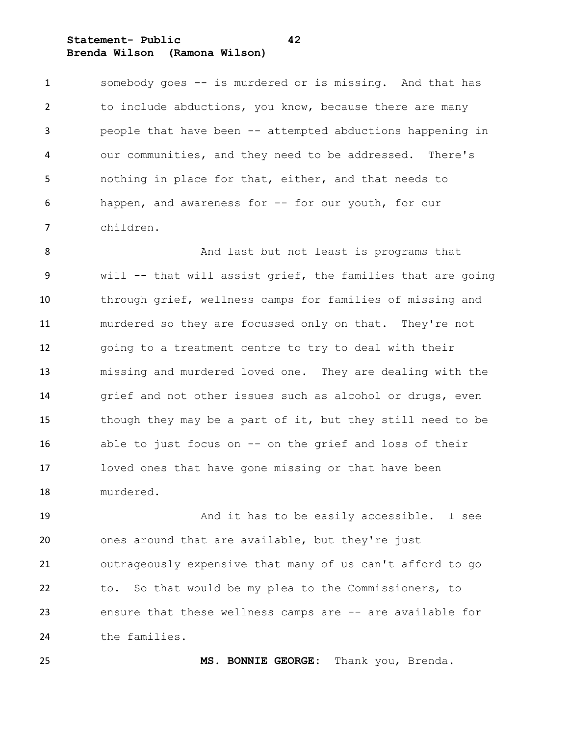**Statement- Public 42 Brenda Wilson (Ramona Wilson)**

 somebody goes -- is murdered or is missing. And that has to include abductions, you know, because there are many people that have been -- attempted abductions happening in our communities, and they need to be addressed. There's nothing in place for that, either, and that needs to happen, and awareness for -- for our youth, for our children.

8 And last but not least is programs that will -- that will assist grief, the families that are going through grief, wellness camps for families of missing and murdered so they are focussed only on that. They're not going to a treatment centre to try to deal with their missing and murdered loved one. They are dealing with the grief and not other issues such as alcohol or drugs, even though they may be a part of it, but they still need to be able to just focus on -- on the grief and loss of their loved ones that have gone missing or that have been murdered.

 And it has to be easily accessible. I see ones around that are available, but they're just outrageously expensive that many of us can't afford to go to. So that would be my plea to the Commissioners, to ensure that these wellness camps are -- are available for the families.

**MS. BONNIE GEORGE:** Thank you, Brenda.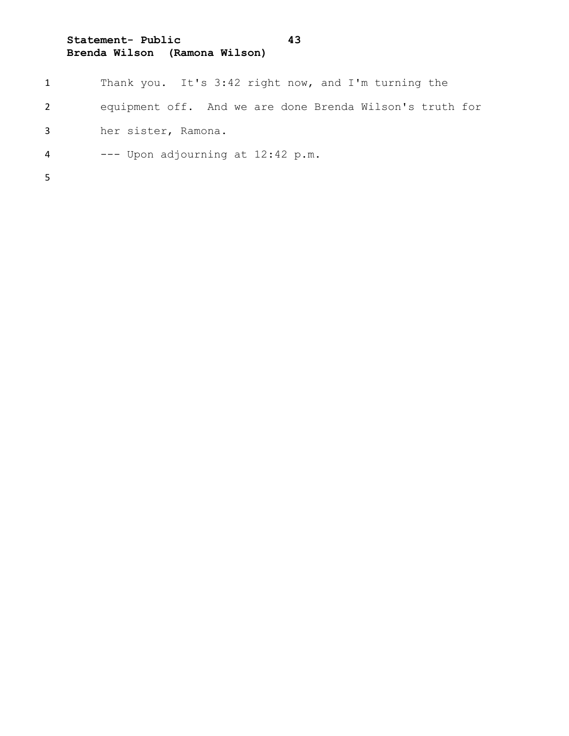# **Statement- Public 43 Brenda Wilson (Ramona Wilson)**

|              | Thank you. It's 3:42 right now, and I'm turning the      |
|--------------|----------------------------------------------------------|
| $\mathbf{2}$ | equipment off. And we are done Brenda Wilson's truth for |
| 3            | her sister, Ramona.                                      |
| 4            | --- Upon adjourning at 12:42 p.m.                        |
| 5.           |                                                          |